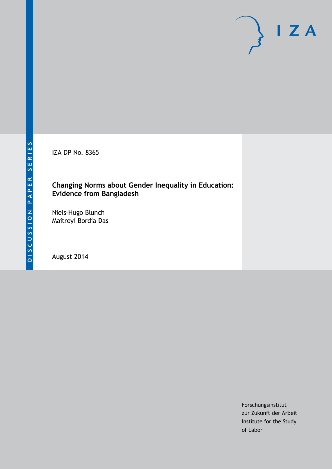IZA DP No. 8365

### **Changing Norms about Gender Inequality in Education: Evidence from Bangladesh**

Niels-Hugo Blunch Maitreyi Bordia Das

August 2014

Forschungsinstitut zur Zukunft der Arbeit Institute for the Study of Labor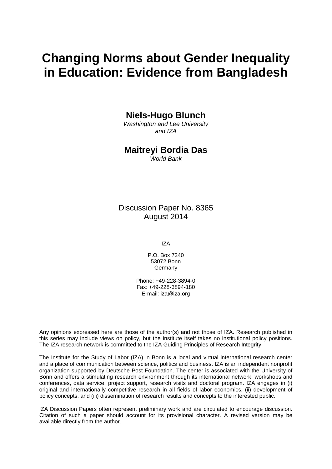# **Changing Norms about Gender Inequality in Education: Evidence from Bangladesh**

**Niels-Hugo Blunch**

*Washington and Lee University and IZA*

### **Maitreyi Bordia Das**

*World Bank*

Discussion Paper No. 8365 August 2014

IZA

P.O. Box 7240 53072 Bonn **Germany** 

Phone: +49-228-3894-0 Fax: +49-228-3894-180 E-mail: [iza@iza.org](mailto:iza@iza.org)

Any opinions expressed here are those of the author(s) and not those of IZA. Research published in this series may include views on policy, but the institute itself takes no institutional policy positions. The IZA research network is committed to the IZA Guiding Principles of Research Integrity.

The Institute for the Study of Labor (IZA) in Bonn is a local and virtual international research center and a place of communication between science, politics and business. IZA is an independent nonprofit organization supported by Deutsche Post Foundation. The center is associated with the University of Bonn and offers a stimulating research environment through its international network, workshops and conferences, data service, project support, research visits and doctoral program. IZA engages in (i) original and internationally competitive research in all fields of labor economics, (ii) development of policy concepts, and (iii) dissemination of research results and concepts to the interested public.

<span id="page-1-0"></span>IZA Discussion Papers often represent preliminary work and are circulated to encourage discussion. Citation of such a paper should account for its provisional character. A revised version may be available directly from the author.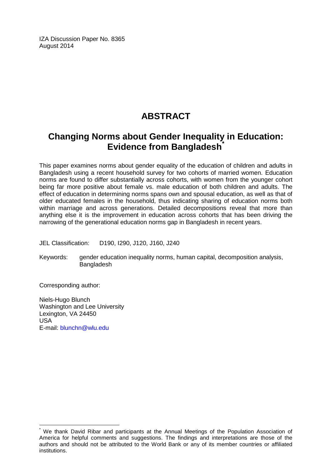IZA Discussion Paper No. 8365 August 2014

# **ABSTRACT**

# **Changing Norms about Gender Inequality in Education: Evidence from Bangladesh[\\*](#page-1-0)**

This paper examines norms about gender equality of the education of children and adults in Bangladesh using a recent household survey for two cohorts of married women. Education norms are found to differ substantially across cohorts, with women from the younger cohort being far more positive about female vs. male education of both children and adults. The effect of education in determining norms spans own and spousal education, as well as that of older educated females in the household, thus indicating sharing of education norms both within marriage and across generations. Detailed decompositions reveal that more than anything else it is the improvement in education across cohorts that has been driving the narrowing of the generational education norms gap in Bangladesh in recent years.

JEL Classification: D190, I290, J120, J160, J240

Keywords: gender education inequality norms, human capital, decomposition analysis, Bangladesh

Corresponding author:

Niels-Hugo Blunch Washington and Lee University Lexington, VA 24450 USA E-mail: [blunchn@wlu.edu](mailto:blunchn@wlu.edu)

We thank David Ribar and participants at the Annual Meetings of the Population Association of America for helpful comments and suggestions. The findings and interpretations are those of the authors and should not be attributed to the World Bank or any of its member countries or affiliated institutions.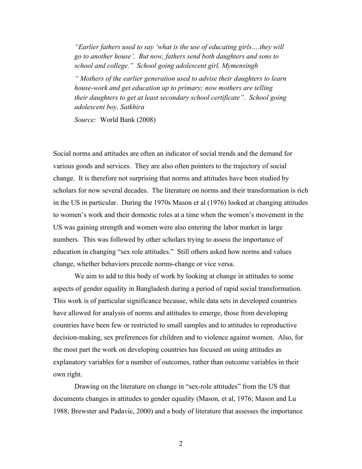*"Earlier fathers used to say 'what is the use of educating girls….they will go to another house'. But now, fathers send both daughters and sons to school and college." School going adolescent girl, Mymensingh*

*" Mothers of the earlier generation used to advise their daughters to learn house-work and get education up to primary; now mothers are telling their daughters to get at least secondary school certificate". School going adolescent boy, Satkhira*

*Source:* World Bank (2008)

Social norms and attitudes are often an indicator of social trends and the demand for various goods and services. They are also often pointers to the trajectory of social change. It is therefore not surprising that norms and attitudes have been studied by scholars for now several decades. The literature on norms and their transformation is rich in the US in particular. During the 1970s Mason et al (1976) looked at changing attitudes to women's work and their domestic roles at a time when the women's movement in the US was gaining strength and women were also entering the labor market in large numbers. This was followed by other scholars trying to assess the importance of education in changing "sex role attitudes." Still others asked how norms and values change, whether behaviors precede norms-change or vice versa.

We aim to add to this body of work by looking at change in attitudes to some aspects of gender equality in Bangladesh during a period of rapid social transformation. This work is of particular significance because, while data sets in developed countries have allowed for analysis of norms and attitudes to emerge, those from developing countries have been few or restricted to small samples and to attitudes to reproductive decision-making, sex preferences for children and to violence against women. Also, for the most part the work on developing countries has focused on using attitudes as explanatory variables for a number of outcomes, rather than outcome variables in their own right.

Drawing on the literature on change in "sex-role attitudes" from the US that documents changes in attitudes to gender equality (Mason, et al, 1976; Mason and Lu 1988; Brewster and Padavic, 2000) and a body of literature that assesses the importance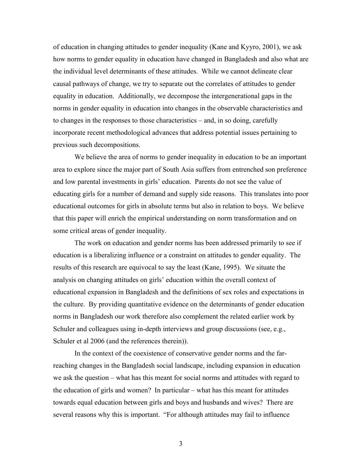of education in changing attitudes to gender inequality (Kane and Kyyro, 2001), we ask how norms to gender equality in education have changed in Bangladesh and also what are the individual level determinants of these attitudes. While we cannot delineate clear causal pathways of change, we try to separate out the correlates of attitudes to gender equality in education. Additionally, we decompose the intergenerational gaps in the norms in gender equality in education into changes in the observable characteristics and to changes in the responses to those characteristics – and, in so doing, carefully incorporate recent methodological advances that address potential issues pertaining to previous such decompositions.

We believe the area of norms to gender inequality in education to be an important area to explore since the major part of South Asia suffers from entrenched son preference and low parental investments in girls' education. Parents do not see the value of educating girls for a number of demand and supply side reasons. This translates into poor educational outcomes for girls in absolute terms but also in relation to boys. We believe that this paper will enrich the empirical understanding on norm transformation and on some critical areas of gender inequality.

The work on education and gender norms has been addressed primarily to see if education is a liberalizing influence or a constraint on attitudes to gender equality. The results of this research are equivocal to say the least (Kane, 1995). We situate the analysis on changing attitudes on girls' education within the overall context of educational expansion in Bangladesh and the definitions of sex roles and expectations in the culture. By providing quantitative evidence on the determinants of gender education norms in Bangladesh our work therefore also complement the related earlier work by Schuler and colleagues using in-depth interviews and group discussions (see, e.g., Schuler et al 2006 (and the references therein)).

In the context of the coexistence of conservative gender norms and the farreaching changes in the Bangladesh social landscape, including expansion in education we ask the question – what has this meant for social norms and attitudes with regard to the education of girls and women? In particular – what has this meant for attitudes towards equal education between girls and boys and husbands and wives? There are several reasons why this is important. "For although attitudes may fail to influence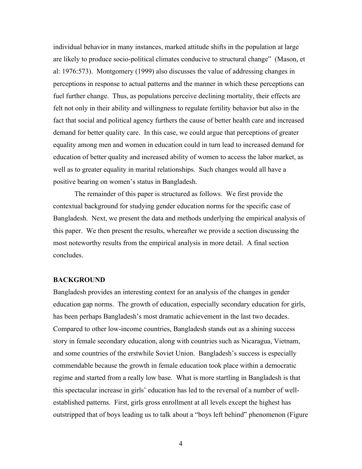individual behavior in many instances, marked attitude shifts in the population at large are likely to produce socio-political climates conducive to structural change" (Mason, et al: 1976:573). Montgomery (1999) also discusses the value of addressing changes in perceptions in response to actual patterns and the manner in which these perceptions can fuel further change. Thus, as populations perceive declining mortality, their effects are felt not only in their ability and willingness to regulate fertility behavior but also in the fact that social and political agency furthers the cause of better health care and increased demand for better quality care. In this case, we could argue that perceptions of greater equality among men and women in education could in turn lead to increased demand for education of better quality and increased ability of women to access the labor market, as well as to greater equality in marital relationships. Such changes would all have a positive bearing on women's status in Bangladesh.

The remainder of this paper is structured as follows. We first provide the contextual background for studying gender education norms for the specific case of Bangladesh. Next, we present the data and methods underlying the empirical analysis of this paper. We then present the results, whereafter we provide a section discussing the most noteworthy results from the empirical analysis in more detail. A final section concludes.

#### **BACKGROUND**

Bangladesh provides an interesting context for an analysis of the changes in gender education gap norms. The growth of education, especially secondary education for girls, has been perhaps Bangladesh's most dramatic achievement in the last two decades. Compared to other low-income countries, Bangladesh stands out as a shining success story in female secondary education, along with countries such as Nicaragua, Vietnam, and some countries of the erstwhile Soviet Union. Bangladesh's success is especially commendable because the growth in female education took place within a democratic regime and started from a really low base. What is more startling in Bangladesh is that this spectacular increase in girls' education has led to the reversal of a number of wellestablished patterns. First, girls gross enrollment at all levels except the highest has outstripped that of boys leading us to talk about a "boys left behind" phenomenon (Figure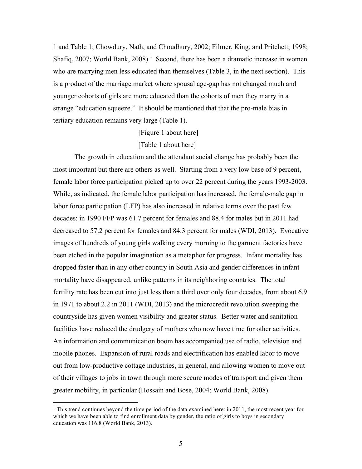1 and Table 1; Chowdury, Nath, and Choudhury, 2002; Filmer, King, and Pritchett, 1998; Shafiq, 2007; World Bank, 2008).<sup>1</sup> Second, there has been a dramatic increase in women who are marrying men less educated than themselves (Table 3, in the next section). This is a product of the marriage market where spousal age-gap has not changed much and younger cohorts of girls are more educated than the cohorts of men they marry in a strange "education squeeze." It should be mentioned that that the pro-male bias in tertiary education remains very large (Table 1).

[Figure 1 about here]

[Table 1 about here]

The growth in education and the attendant social change has probably been the most important but there are others as well. Starting from a very low base of 9 percent, female labor force participation picked up to over 22 percent during the years 1993-2003. While, as indicated, the female labor participation has increased, the female-male gap in labor force participation (LFP) has also increased in relative terms over the past few decades: in 1990 FFP was 61.7 percent for females and 88.4 for males but in 2011 had decreased to 57.2 percent for females and 84.3 percent for males (WDI, 2013). Evocative images of hundreds of young girls walking every morning to the garment factories have been etched in the popular imagination as a metaphor for progress. Infant mortality has dropped faster than in any other country in South Asia and gender differences in infant mortality have disappeared, unlike patterns in its neighboring countries. The total fertility rate has been cut into just less than a third over only four decades, from about 6.9 in 1971 to about 2.2 in 2011 (WDI, 2013) and the microcredit revolution sweeping the countryside has given women visibility and greater status. Better water and sanitation facilities have reduced the drudgery of mothers who now have time for other activities. An information and communication boom has accompanied use of radio, television and mobile phones. Expansion of rural roads and electrification has enabled labor to move out from low-productive cottage industries, in general, and allowing women to move out of their villages to jobs in town through more secure modes of transport and given them greater mobility, in particular (Hossain and Bose, 2004; World Bank, 2008).

<sup>&</sup>lt;sup>1</sup> This trend continues beyond the time period of the data examined here: in 2011, the most recent year for which we have been able to find enrollment data by gender, the ratio of girls to boys in secondary education was 116.8 (World Bank, 2013).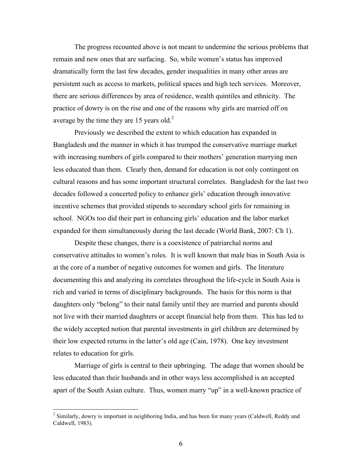The progress recounted above is not meant to undermine the serious problems that remain and new ones that are surfacing. So, while women's status has improved dramatically form the last few decades, gender inequalities in many other areas are persistent such as access to markets, political spaces and high tech services. Moreover, there are serious differences by area of residence, wealth quintiles and ethnicity. The practice of dowry is on the rise and one of the reasons why girls are married off on average by the time they are 15 years old. $2$ 

Previously we described the extent to which education has expanded in Bangladesh and the manner in which it has trumped the conservative marriage market with increasing numbers of girls compared to their mothers' generation marrying men less educated than them. Clearly then, demand for education is not only contingent on cultural reasons and has some important structural correlates. Bangladesh for the last two decades followed a concerted policy to enhance girls' education through innovative incentive schemes that provided stipends to secondary school girls for remaining in school. NGOs too did their part in enhancing girls' education and the labor market expanded for them simultaneously during the last decade (World Bank, 2007: Ch 1).

Despite these changes, there is a coexistence of patriarchal norms and conservative attitudes to women's roles. It is well known that male bias in South Asia is at the core of a number of negative outcomes for women and girls. The literature documenting this and analyzing its correlates throughout the life-cycle in South Asia is rich and varied in terms of disciplinary backgrounds. The basis for this norm is that daughters only "belong" to their natal family until they are married and parents should not live with their married daughters or accept financial help from them. This has led to the widely accepted notion that parental investments in girl children are determined by their low expected returns in the latter's old age (Cain, 1978). One key investment relates to education for girls.

Marriage of girls is central to their upbringing. The adage that women should be less educated than their husbands and in other ways less accomplished is an accepted apart of the South Asian culture. Thus, women marry "up" in a well-known practice of

<sup>&</sup>lt;sup>2</sup> Similarly, dowry is important in neighboring India, and has been for many years (Caldwell, Reddy and Caldwell, 1983).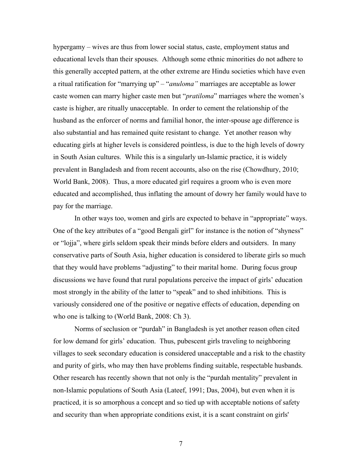hypergamy – wives are thus from lower social status, caste, employment status and educational levels than their spouses. Although some ethnic minorities do not adhere to this generally accepted pattern, at the other extreme are Hindu societies which have even a ritual ratification for "marrying up" – "*anuloma"* marriages are acceptable as lower caste women can marry higher caste men but "*pratiloma*" marriages where the women's caste is higher, are ritually unacceptable. In order to cement the relationship of the husband as the enforcer of norms and familial honor, the inter-spouse age difference is also substantial and has remained quite resistant to change. Yet another reason why educating girls at higher levels is considered pointless, is due to the high levels of dowry in South Asian cultures. While this is a singularly un-Islamic practice, it is widely prevalent in Bangladesh and from recent accounts, also on the rise (Chowdhury, 2010; World Bank, 2008). Thus, a more educated girl requires a groom who is even more educated and accomplished, thus inflating the amount of dowry her family would have to pay for the marriage.

In other ways too, women and girls are expected to behave in "appropriate" ways. One of the key attributes of a "good Bengali girl" for instance is the notion of "shyness" or "lojja", where girls seldom speak their minds before elders and outsiders. In many conservative parts of South Asia, higher education is considered to liberate girls so much that they would have problems "adjusting" to their marital home. During focus group discussions we have found that rural populations perceive the impact of girls' education most strongly in the ability of the latter to "speak" and to shed inhibitions. This is variously considered one of the positive or negative effects of education, depending on who one is talking to (World Bank, 2008: Ch 3).

Norms of seclusion or "purdah" in Bangladesh is yet another reason often cited for low demand for girls' education. Thus, pubescent girls traveling to neighboring villages to seek secondary education is considered unacceptable and a risk to the chastity and purity of girls, who may then have problems finding suitable, respectable husbands. Other research has recently shown that not only is the "purdah mentality" prevalent in non-Islamic populations of South Asia (Lateef, 1991; Das, 2004), but even when it is practiced, it is so amorphous a concept and so tied up with acceptable notions of safety and security than when appropriate conditions exist, it is a scant constraint on girls'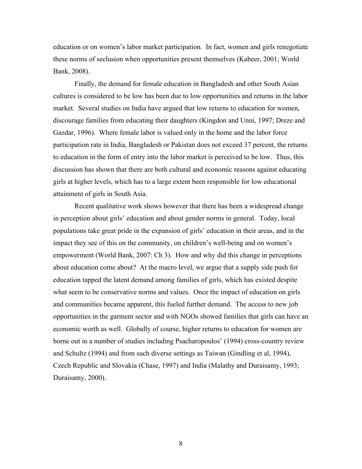education or on women's labor market participation. In fact, women and girls renegotiate these norms of seclusion when opportunities present themselves (Kabeer, 2001; World Bank, 2008).

Finally, the demand for female education in Bangladesh and other South Asian cultures is considered to be low has been due to low opportunities and returns in the labor market. Several studies on India have argued that low returns to education for women, discourage families from educating their daughters (Kingdon and Unni, 1997; Dreze and Gazdar, 1996). Where female labor is valued only in the home and the labor force participation rate in India, Bangladesh or Pakistan does not exceed 37 percent, the returns to education in the form of entry into the labor market is perceived to be low. Thus, this discussion has shown that there are both cultural and economic reasons against educating girls at higher levels, which has to a large extent been responsible for low educational attainment of girls in South Asia.

Recent qualitative work shows however that there has been a widespread change in perception about girls' education and about gender norms in general. Today, local populations take great pride in the expansion of girls' education in their areas, and in the impact they see of this on the community, on children's well-being and on women's empowerment (World Bank, 2007: Ch 3). How and why did this change in perceptions about education come about? At the macro level, we argue that a supply side push for education tapped the latent demand among families of girls, which has existed despite what seem to be conservative norms and values. Once the impact of education on girls and communities became apparent, this fueled further demand. The access to new job opportunities in the garment sector and with NGOs showed families that girls can have an economic worth as well. Globally of course, higher returns to education for women are borne out in a number of studies including Psacharopoulos' (1994) cross-country review and Schultz (1994) and from such diverse settings as Taiwan (Gindling et al, 1994), Czech Republic and Slovakia (Chase, 1997) and India (Malathy and Duraisamy, 1993; Duraisamy, 2000).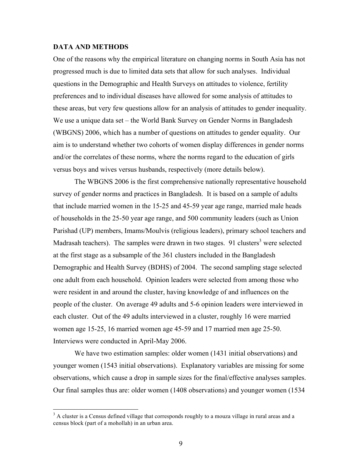#### **DATA AND METHODS**

One of the reasons why the empirical literature on changing norms in South Asia has not progressed much is due to limited data sets that allow for such analyses. Individual questions in the Demographic and Health Surveys on attitudes to violence, fertility preferences and to individual diseases have allowed for some analysis of attitudes to these areas, but very few questions allow for an analysis of attitudes to gender inequality. We use a unique data set – the World Bank Survey on Gender Norms in Bangladesh (WBGNS) 2006, which has a number of questions on attitudes to gender equality. Our aim is to understand whether two cohorts of women display differences in gender norms and/or the correlates of these norms, where the norms regard to the education of girls versus boys and wives versus husbands, respectively (more details below).

The WBGNS 2006 is the first comprehensive nationally representative household survey of gender norms and practices in Bangladesh. It is based on a sample of adults that include married women in the 15-25 and 45-59 year age range, married male heads of households in the 25-50 year age range, and 500 community leaders (such as Union Parishad (UP) members, Imams/Moulvis (religious leaders), primary school teachers and Madrasah teachers). The samples were drawn in two stages. 91 clusters<sup>3</sup> were selected at the first stage as a subsample of the 361 clusters included in the Bangladesh Demographic and Health Survey (BDHS) of 2004. The second sampling stage selected one adult from each household. Opinion leaders were selected from among those who were resident in and around the cluster, having knowledge of and influences on the people of the cluster. On average 49 adults and 5-6 opinion leaders were interviewed in each cluster. Out of the 49 adults interviewed in a cluster, roughly 16 were married women age 15-25, 16 married women age 45-59 and 17 married men age 25-50. Interviews were conducted in April-May 2006.

We have two estimation samples: older women (1431 initial observations) and younger women (1543 initial observations). Explanatory variables are missing for some observations, which cause a drop in sample sizes for the final/effective analyses samples. Our final samples thus are: older women (1408 observations) and younger women (1534

<sup>&</sup>lt;sup>3</sup> A cluster is a Census defined village that corresponds roughly to a mouza village in rural areas and a census block (part of a mohollah) in an urban area.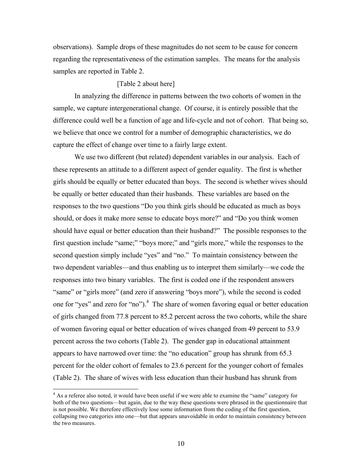observations). Sample drops of these magnitudes do not seem to be cause for concern regarding the representativeness of the estimation samples. The means for the analysis samples are reported in Table 2.

#### [Table 2 about here]

In analyzing the difference in patterns between the two cohorts of women in the sample, we capture intergenerational change. Of course, it is entirely possible that the difference could well be a function of age and life-cycle and not of cohort. That being so, we believe that once we control for a number of demographic characteristics, we do capture the effect of change over time to a fairly large extent.

We use two different (but related) dependent variables in our analysis. Each of these represents an attitude to a different aspect of gender equality. The first is whether girls should be equally or better educated than boys. The second is whether wives should be equally or better educated than their husbands. These variables are based on the responses to the two questions "Do you think girls should be educated as much as boys should, or does it make more sense to educate boys more?" and "Do you think women should have equal or better education than their husband?" The possible responses to the first question include "same;" "boys more;" and "girls more," while the responses to the second question simply include "yes" and "no." To maintain consistency between the two dependent variables—and thus enabling us to interpret them similarly—we code the responses into two binary variables. The first is coded one if the respondent answers "same" or "girls more" (and zero if answering "boys more"), while the second is coded one for "yes" and zero for "no").<sup>4</sup> The share of women favoring equal or better education of girls changed from 77.8 percent to 85.2 percent across the two cohorts, while the share of women favoring equal or better education of wives changed from 49 percent to 53.9 percent across the two cohorts (Table 2). The gender gap in educational attainment appears to have narrowed over time: the "no education" group has shrunk from 65.3 percent for the older cohort of females to 23.6 percent for the younger cohort of females (Table 2). The share of wives with less education than their husband has shrunk from

<sup>&</sup>lt;sup>4</sup> As a referee also noted, it would have been useful if we were able to examine the "same" category for both of the two questions—but again, due to the way these questions were phrased in the questionnaire that is not possible. We therefore effectively lose some information from the coding of the first question, collapsing two categories into one—but that appears unavoidable in order to maintain consistency between the two measures.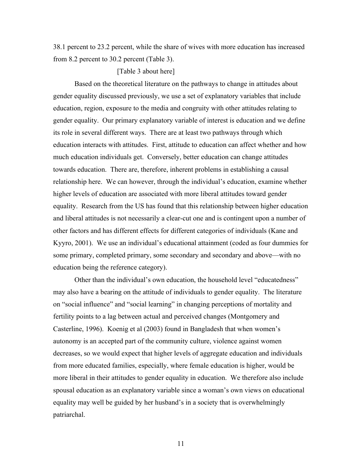38.1 percent to 23.2 percent, while the share of wives with more education has increased from 8.2 percent to 30.2 percent (Table 3).

[Table 3 about here]

Based on the theoretical literature on the pathways to change in attitudes about gender equality discussed previously, we use a set of explanatory variables that include education, region, exposure to the media and congruity with other attitudes relating to gender equality. Our primary explanatory variable of interest is education and we define its role in several different ways. There are at least two pathways through which education interacts with attitudes. First, attitude to education can affect whether and how much education individuals get. Conversely, better education can change attitudes towards education. There are, therefore, inherent problems in establishing a causal relationship here. We can however, through the individual's education, examine whether higher levels of education are associated with more liberal attitudes toward gender equality. Research from the US has found that this relationship between higher education and liberal attitudes is not necessarily a clear-cut one and is contingent upon a number of other factors and has different effects for different categories of individuals (Kane and Kyyro, 2001). We use an individual's educational attainment (coded as four dummies for some primary, completed primary, some secondary and secondary and above—with no education being the reference category).

Other than the individual's own education, the household level "educatedness" may also have a bearing on the attitude of individuals to gender equality. The literature on "social influence" and "social learning" in changing perceptions of mortality and fertility points to a lag between actual and perceived changes (Montgomery and Casterline, 1996). Koenig et al (2003) found in Bangladesh that when women's autonomy is an accepted part of the community culture, violence against women decreases, so we would expect that higher levels of aggregate education and individuals from more educated families, especially, where female education is higher, would be more liberal in their attitudes to gender equality in education. We therefore also include spousal education as an explanatory variable since a woman's own views on educational equality may well be guided by her husband's in a society that is overwhelmingly patriarchal.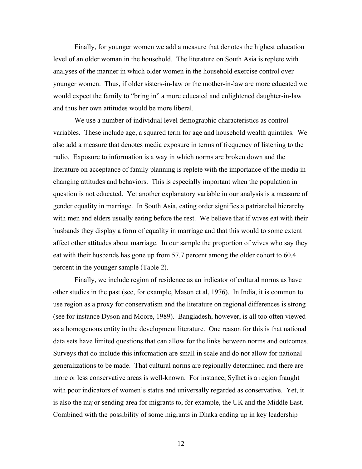Finally, for younger women we add a measure that denotes the highest education level of an older woman in the household. The literature on South Asia is replete with analyses of the manner in which older women in the household exercise control over younger women. Thus, if older sisters-in-law or the mother-in-law are more educated we would expect the family to "bring in" a more educated and enlightened daughter-in-law and thus her own attitudes would be more liberal.

We use a number of individual level demographic characteristics as control variables. These include age, a squared term for age and household wealth quintiles. We also add a measure that denotes media exposure in terms of frequency of listening to the radio. Exposure to information is a way in which norms are broken down and the literature on acceptance of family planning is replete with the importance of the media in changing attitudes and behaviors. This is especially important when the population in question is not educated. Yet another explanatory variable in our analysis is a measure of gender equality in marriage. In South Asia, eating order signifies a patriarchal hierarchy with men and elders usually eating before the rest. We believe that if wives eat with their husbands they display a form of equality in marriage and that this would to some extent affect other attitudes about marriage. In our sample the proportion of wives who say they eat with their husbands has gone up from 57.7 percent among the older cohort to 60.4 percent in the younger sample (Table 2).

Finally, we include region of residence as an indicator of cultural norms as have other studies in the past (see, for example, Mason et al, 1976). In India, it is common to use region as a proxy for conservatism and the literature on regional differences is strong (see for instance Dyson and Moore, 1989). Bangladesh, however, is all too often viewed as a homogenous entity in the development literature. One reason for this is that national data sets have limited questions that can allow for the links between norms and outcomes. Surveys that do include this information are small in scale and do not allow for national generalizations to be made. That cultural norms are regionally determined and there are more or less conservative areas is well-known. For instance, Sylhet is a region fraught with poor indicators of women's status and universally regarded as conservative. Yet, it is also the major sending area for migrants to, for example, the UK and the Middle East. Combined with the possibility of some migrants in Dhaka ending up in key leadership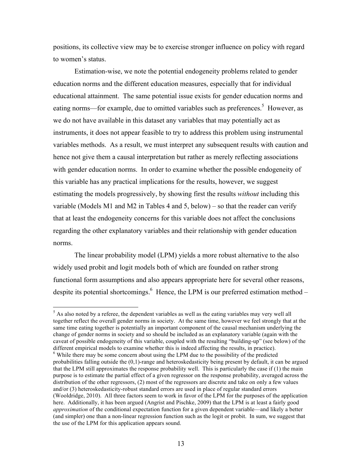positions, its collective view may be to exercise stronger influence on policy with regard to women's status.

Estimation-wise, we note the potential endogeneity problems related to gender education norms and the different education measures, especially that for individual educational attainment. The same potential issue exists for gender education norms and eating norms—for example, due to omitted variables such as preferences.<sup>5</sup> However, as we do not have available in this dataset any variables that may potentially act as instruments, it does not appear feasible to try to address this problem using instrumental variables methods. As a result, we must interpret any subsequent results with caution and hence not give them a causal interpretation but rather as merely reflecting associations with gender education norms. In order to examine whether the possible endogeneity of this variable has any practical implications for the results, however, we suggest estimating the models progressively, by showing first the results *without* including this variable (Models M1 and M2 in Tables 4 and 5, below) – so that the reader can verify that at least the endogeneity concerns for this variable does not affect the conclusions regarding the other explanatory variables and their relationship with gender education norms.

The linear probability model (LPM) yields a more robust alternative to the also widely used probit and logit models both of which are founded on rather strong functional form assumptions and also appears appropriate here for several other reasons, despite its potential shortcomings.<sup>6</sup> Hence, the LPM is our preferred estimation method –

<sup>&</sup>lt;sup>5</sup> As also noted by a referee, the dependent variables as well as the eating variables may very well all together reflect the overall gender norms in society. At the same time, however we feel strongly that at the same time eating together is potentially an important component of the causal mechanism underlying the change of gender norms in society and so should be included as an explanatory variable (again with the caveat of possible endogeneity of this variable, coupled with the resulting "building-up" (see below) of the different empirical models to examine whether this is indeed affecting the results, in practice).

<sup>&</sup>lt;sup>6</sup> While there may be some concern about using the LPM due to the possibility of the predicted probabilities falling outside the (0,1)-range and heteroskedasticity being present by default, it can be argued that the LPM still approximates the response probability well. This is particularly the case if (1) the main purpose is to estimate the partial effect of a given regressor on the response probability, averaged across the distribution of the other regressors, (2) most of the regressors are discrete and take on only a few values and/or (3) heteroskedasticity-robust standard errors are used in place of regular standard errors (Wooldridge, 2010). All three factors seem to work in favor of the LPM for the purposes of the application here. Additionally, it has been argued (Angrist and Pischke, 2009) that the LPM is at least a fairly good *approximation* of the conditional expectation function for a given dependent variable—and likely a better (and simpler) one than a non-linear regression function such as the logit or probit. In sum, we suggest that the use of the LPM for this application appears sound.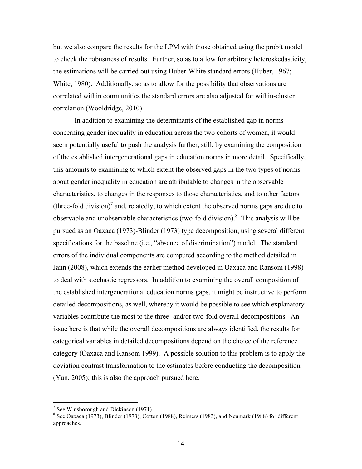but we also compare the results for the LPM with those obtained using the probit model to check the robustness of results. Further, so as to allow for arbitrary heteroskedasticity, the estimations will be carried out using Huber-White standard errors (Huber, 1967; White, 1980). Additionally, so as to allow for the possibility that observations are correlated within communities the standard errors are also adjusted for within-cluster correlation (Wooldridge, 2010).

In addition to examining the determinants of the established gap in norms concerning gender inequality in education across the two cohorts of women, it would seem potentially useful to push the analysis further, still, by examining the composition of the established intergenerational gaps in education norms in more detail. Specifically, this amounts to examining to which extent the observed gaps in the two types of norms about gender inequality in education are attributable to changes in the observable characteristics, to changes in the responses to those characteristics, and to other factors (three-fold division)<sup>7</sup> and, relatedly, to which extent the observed norms gaps are due to observable and unobservable characteristics (two-fold division).<sup>8</sup> This analysis will be pursued as an Oaxaca (1973)-Blinder (1973) type decomposition, using several different specifications for the baseline (i.e., "absence of discrimination") model. The standard errors of the individual components are computed according to the method detailed in Jann (2008), which extends the earlier method developed in Oaxaca and Ransom (1998) to deal with stochastic regressors. In addition to examining the overall composition of the established intergenerational education norms gaps, it might be instructive to perform detailed decompositions, as well, whereby it would be possible to see which explanatory variables contribute the most to the three- and/or two-fold overall decompositions. An issue here is that while the overall decompositions are always identified, the results for categorical variables in detailed decompositions depend on the choice of the reference category (Oaxaca and Ransom 1999). A possible solution to this problem is to apply the deviation contrast transformation to the estimates before conducting the decomposition (Yun, 2005); this is also the approach pursued here.

 $7$  See Winsborough and Dickinson (1971).

 $8$  See Oaxaca (1973), Blinder (1973), Cotton (1988), Reimers (1983), and Neumark (1988) for different approaches.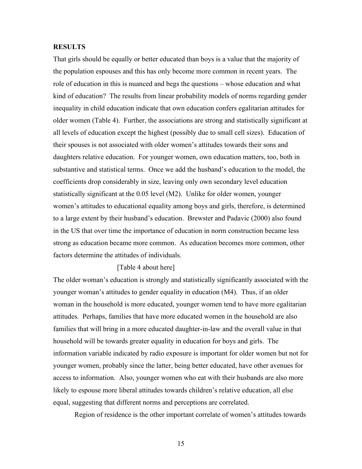#### **RESULTS**

That girls should be equally or better educated than boys is a value that the majority of the population espouses and this has only become more common in recent years. The role of education in this is nuanced and begs the questions – whose education and what kind of education? The results from linear probability models of norms regarding gender inequality in child education indicate that own education confers egalitarian attitudes for older women (Table 4). Further, the associations are strong and statistically significant at all levels of education except the highest (possibly due to small cell sizes). Education of their spouses is not associated with older women's attitudes towards their sons and daughters relative education. For younger women, own education matters, too, both in substantive and statistical terms. Once we add the husband's education to the model, the coefficients drop considerably in size, leaving only own secondary level education statistically significant at the 0.05 level (M2). Unlike for older women, younger women's attitudes to educational equality among boys and girls, therefore, is determined to a large extent by their husband's education. Brewster and Padavic (2000) also found in the US that over time the importance of education in norm construction became less strong as education became more common. As education becomes more common, other factors determine the attitudes of individuals.

#### [Table 4 about here]

The older woman's education is strongly and statistically significantly associated with the younger woman's attitudes to gender equality in education (M4). Thus, if an older woman in the household is more educated, younger women tend to have more egalitarian attitudes. Perhaps, families that have more educated women in the household are also families that will bring in a more educated daughter-in-law and the overall value in that household will be towards greater equality in education for boys and girls. The information variable indicated by radio exposure is important for older women but not for younger women, probably since the latter, being better educated, have other avenues for access to information. Also, younger women who eat with their husbands are also more likely to espouse more liberal attitudes towards children's relative education, all else equal, suggesting that different norms and perceptions are correlated.

Region of residence is the other important correlate of women's attitudes towards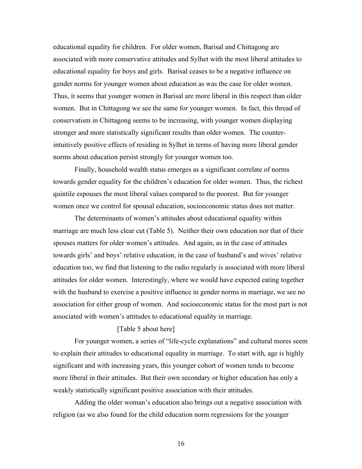educational equality for children. For older women, Barisal and Chittagong are associated with more conservative attitudes and Sylhet with the most liberal attitudes to educational equality for boys and girls. Barisal ceases to be a negative influence on gender norms for younger women about education as was the case for older women. Thus, it seems that younger women in Barisal are more liberal in this respect than older women. But in Chittagong we see the same for younger women. In fact, this thread of conservatism in Chittagong seems to be increasing, with younger women displaying stronger and more statistically significant results than older women. The counterintuitively positive effects of residing in Sylhet in terms of having more liberal gender norms about education persist strongly for younger women too.

Finally, household wealth status emerges as a significant correlate of norms towards gender equality for the children's education for older women. Thus, the richest quintile espouses the most liberal values compared to the poorest. But for younger women once we control for spousal education, socioeconomic status does not matter.

The determinants of women's attitudes about educational equality within marriage are much less clear cut (Table 5). Neither their own education nor that of their spouses matters for older women's attitudes. And again, as in the case of attitudes towards girls' and boys' relative education, in the case of husband's and wives' relative education too, we find that listening to the radio regularly is associated with more liberal attitudes for older women. Interestingly, where we would have expected eating together with the husband to exercise a positive influence in gender norms in marriage, we see no association for either group of women. And socioeconomic status for the most part is not associated with women's attitudes to educational equality in marriage.

#### [Table 5 about here]

For younger women, a series of "life-cycle explanations" and cultural mores seem to explain their attitudes to educational equality in marriage. To start with, age is highly significant and with increasing years, this younger cohort of women tends to become more liberal in their attitudes. But their own secondary or higher education has only a weakly statistically significant positive association with their attitudes.

Adding the older woman's education also brings out a negative association with religion (as we also found for the child education norm regressions for the younger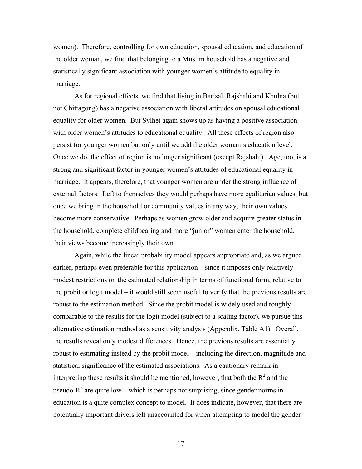women). Therefore, controlling for own education, spousal education, and education of the older woman, we find that belonging to a Muslim household has a negative and statistically significant association with younger women's attitude to equality in marriage.

As for regional effects, we find that living in Barisal, Rajshahi and Khulna (but not Chittagong) has a negative association with liberal attitudes on spousal educational equality for older women. But Sylhet again shows up as having a positive association with older women's attitudes to educational equality. All these effects of region also persist for younger women but only until we add the older woman's education level. Once we do, the effect of region is no longer significant (except Rajshahi). Age, too, is a strong and significant factor in younger women's attitudes of educational equality in marriage. It appears, therefore, that younger women are under the strong influence of external factors. Left to themselves they would perhaps have more egalitarian values, but once we bring in the household or community values in any way, their own values become more conservative. Perhaps as women grow older and acquire greater status in the household, complete childbearing and more "junior" women enter the household, their views become increasingly their own.

Again, while the linear probability model appears appropriate and, as we argued earlier, perhaps even preferable for this application – since it imposes only relatively modest restrictions on the estimated relationship in terms of functional form, relative to the probit or logit model – it would still seem useful to verify that the previous results are robust to the estimation method. Since the probit model is widely used and roughly comparable to the results for the logit model (subject to a scaling factor), we pursue this alternative estimation method as a sensitivity analysis (Appendix, Table A1). Overall, the results reveal only modest differences. Hence, the previous results are essentially robust to estimating instead by the probit model – including the direction, magnitude and statistical significance of the estimated associations. As a cautionary remark in interpreting these results it should be mentioned, however, that both the  $R^2$  and the pseudo- $R^2$  are quite low—which is perhaps not surprising, since gender norms in education is a quite complex concept to model. It does indicate, however, that there are potentially important drivers left unaccounted for when attempting to model the gender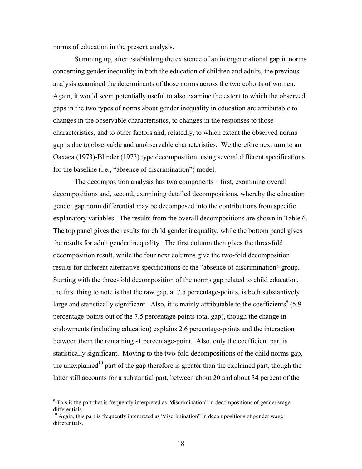norms of education in the present analysis.

Summing up, after establishing the existence of an intergenerational gap in norms concerning gender inequality in both the education of children and adults, the previous analysis examined the determinants of those norms across the two cohorts of women. Again, it would seem potentially useful to also examine the extent to which the observed gaps in the two types of norms about gender inequality in education are attributable to changes in the observable characteristics, to changes in the responses to those characteristics, and to other factors and, relatedly, to which extent the observed norms gap is due to observable and unobservable characteristics. We therefore next turn to an Oaxaca (1973)-Blinder (1973) type decomposition, using several different specifications for the baseline (i.e., "absence of discrimination") model.

The decomposition analysis has two components – first, examining overall decompositions and, second, examining detailed decompositions, whereby the education gender gap norm differential may be decomposed into the contributions from specific explanatory variables. The results from the overall decompositions are shown in Table 6. The top panel gives the results for child gender inequality, while the bottom panel gives the results for adult gender inequality. The first column then gives the three-fold decomposition result, while the four next columns give the two-fold decomposition results for different alternative specifications of the "absence of discrimination" group. Starting with the three-fold decomposition of the norms gap related to child education, the first thing to note is that the raw gap, at 7.5 percentage-points, is both substantively large and statistically significant. Also, it is mainly attributable to the coefficients<sup>9</sup> (5.9) percentage-points out of the 7.5 percentage points total gap), though the change in endowments (including education) explains 2.6 percentage-points and the interaction between them the remaining -1 percentage-point. Also, only the coefficient part is statistically significant. Moving to the two-fold decompositions of the child norms gap, the unexplained<sup>10</sup> part of the gap therefore is greater than the explained part, though the latter still accounts for a substantial part, between about 20 and about 34 percent of the

 $9$  This is the part that is frequently interpreted as "discrimination" in decompositions of gender wage differentials.

 $10$  Again, this part is frequently interpreted as "discrimination" in decompositions of gender wage differentials.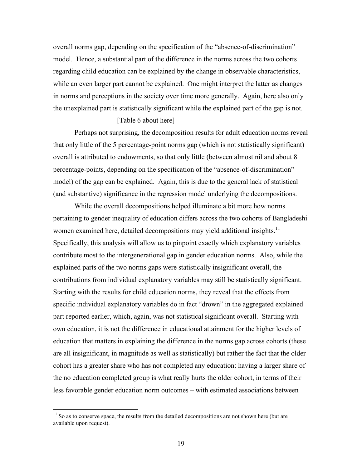overall norms gap, depending on the specification of the "absence-of-discrimination" model. Hence, a substantial part of the difference in the norms across the two cohorts regarding child education can be explained by the change in observable characteristics, while an even larger part cannot be explained. One might interpret the latter as changes in norms and perceptions in the society over time more generally. Again, here also only the unexplained part is statistically significant while the explained part of the gap is not.

#### [Table 6 about here]

Perhaps not surprising, the decomposition results for adult education norms reveal that only little of the 5 percentage-point norms gap (which is not statistically significant) overall is attributed to endowments, so that only little (between almost nil and about 8 percentage-points, depending on the specification of the "absence-of-discrimination" model) of the gap can be explained. Again, this is due to the general lack of statistical (and substantive) significance in the regression model underlying the decompositions.

While the overall decompositions helped illuminate a bit more how norms pertaining to gender inequality of education differs across the two cohorts of Bangladeshi women examined here, detailed decompositions may yield additional insights.<sup>11</sup> Specifically, this analysis will allow us to pinpoint exactly which explanatory variables contribute most to the intergenerational gap in gender education norms. Also, while the explained parts of the two norms gaps were statistically insignificant overall, the contributions from individual explanatory variables may still be statistically significant. Starting with the results for child education norms, they reveal that the effects from specific individual explanatory variables do in fact "drown" in the aggregated explained part reported earlier, which, again, was not statistical significant overall. Starting with own education, it is not the difference in educational attainment for the higher levels of education that matters in explaining the difference in the norms gap across cohorts (these are all insignificant, in magnitude as well as statistically) but rather the fact that the older cohort has a greater share who has not completed any education: having a larger share of the no education completed group is what really hurts the older cohort, in terms of their less favorable gender education norm outcomes – with estimated associations between

 $11$  So as to conserve space, the results from the detailed decompositions are not shown here (but are available upon request).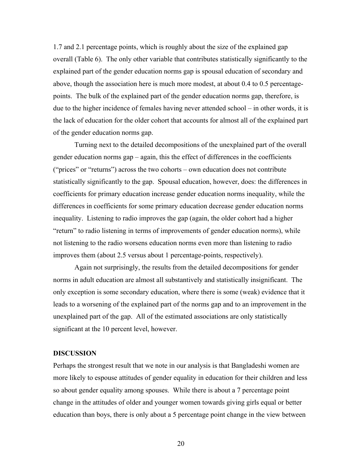1.7 and 2.1 percentage points, which is roughly about the size of the explained gap overall (Table 6). The only other variable that contributes statistically significantly to the explained part of the gender education norms gap is spousal education of secondary and above, though the association here is much more modest, at about 0.4 to 0.5 percentagepoints. The bulk of the explained part of the gender education norms gap, therefore, is due to the higher incidence of females having never attended school – in other words, it is the lack of education for the older cohort that accounts for almost all of the explained part of the gender education norms gap.

Turning next to the detailed decompositions of the unexplained part of the overall gender education norms gap – again, this the effect of differences in the coefficients ("prices" or "returns") across the two cohorts – own education does not contribute statistically significantly to the gap. Spousal education, however, does: the differences in coefficients for primary education increase gender education norms inequality, while the differences in coefficients for some primary education decrease gender education norms inequality. Listening to radio improves the gap (again, the older cohort had a higher "return" to radio listening in terms of improvements of gender education norms), while not listening to the radio worsens education norms even more than listening to radio improves them (about 2.5 versus about 1 percentage-points, respectively).

Again not surprisingly, the results from the detailed decompositions for gender norms in adult education are almost all substantively and statistically insignificant. The only exception is some secondary education, where there is some (weak) evidence that it leads to a worsening of the explained part of the norms gap and to an improvement in the unexplained part of the gap. All of the estimated associations are only statistically significant at the 10 percent level, however.

#### **DISCUSSION**

Perhaps the strongest result that we note in our analysis is that Bangladeshi women are more likely to espouse attitudes of gender equality in education for their children and less so about gender equality among spouses. While there is about a 7 percentage point change in the attitudes of older and younger women towards giving girls equal or better education than boys, there is only about a 5 percentage point change in the view between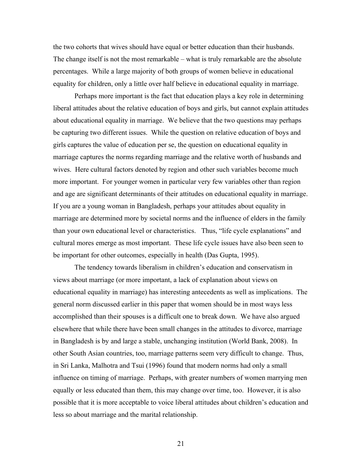the two cohorts that wives should have equal or better education than their husbands. The change itself is not the most remarkable – what is truly remarkable are the absolute percentages. While a large majority of both groups of women believe in educational equality for children, only a little over half believe in educational equality in marriage.

Perhaps more important is the fact that education plays a key role in determining liberal attitudes about the relative education of boys and girls, but cannot explain attitudes about educational equality in marriage. We believe that the two questions may perhaps be capturing two different issues. While the question on relative education of boys and girls captures the value of education per se, the question on educational equality in marriage captures the norms regarding marriage and the relative worth of husbands and wives. Here cultural factors denoted by region and other such variables become much more important. For younger women in particular very few variables other than region and age are significant determinants of their attitudes on educational equality in marriage. If you are a young woman in Bangladesh, perhaps your attitudes about equality in marriage are determined more by societal norms and the influence of elders in the family than your own educational level or characteristics. Thus, "life cycle explanations" and cultural mores emerge as most important. These life cycle issues have also been seen to be important for other outcomes, especially in health (Das Gupta, 1995).

The tendency towards liberalism in children's education and conservatism in views about marriage (or more important, a lack of explanation about views on educational equality in marriage) has interesting antecedents as well as implications. The general norm discussed earlier in this paper that women should be in most ways less accomplished than their spouses is a difficult one to break down. We have also argued elsewhere that while there have been small changes in the attitudes to divorce, marriage in Bangladesh is by and large a stable, unchanging institution (World Bank, 2008). In other South Asian countries, too, marriage patterns seem very difficult to change. Thus, in Sri Lanka, Malhotra and Tsui (1996) found that modern norms had only a small influence on timing of marriage. Perhaps, with greater numbers of women marrying men equally or less educated than them, this may change over time, too. However, it is also possible that it is more acceptable to voice liberal attitudes about children's education and less so about marriage and the marital relationship.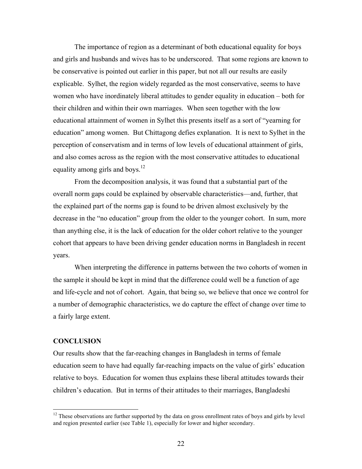The importance of region as a determinant of both educational equality for boys and girls and husbands and wives has to be underscored. That some regions are known to be conservative is pointed out earlier in this paper, but not all our results are easily explicable. Sylhet, the region widely regarded as the most conservative, seems to have women who have inordinately liberal attitudes to gender equality in education – both for their children and within their own marriages. When seen together with the low educational attainment of women in Sylhet this presents itself as a sort of "yearning for education" among women. But Chittagong defies explanation. It is next to Sylhet in the perception of conservatism and in terms of low levels of educational attainment of girls, and also comes across as the region with the most conservative attitudes to educational equality among girls and boys.<sup>12</sup>

From the decomposition analysis, it was found that a substantial part of the overall norm gaps could be explained by observable characteristics—and, further, that the explained part of the norms gap is found to be driven almost exclusively by the decrease in the "no education" group from the older to the younger cohort. In sum, more than anything else, it is the lack of education for the older cohort relative to the younger cohort that appears to have been driving gender education norms in Bangladesh in recent years.

When interpreting the difference in patterns between the two cohorts of women in the sample it should be kept in mind that the difference could well be a function of age and life-cycle and not of cohort. Again, that being so, we believe that once we control for a number of demographic characteristics, we do capture the effect of change over time to a fairly large extent.

#### **CONCLUSION**

Our results show that the far-reaching changes in Bangladesh in terms of female education seem to have had equally far-reaching impacts on the value of girls' education relative to boys. Education for women thus explains these liberal attitudes towards their children's education. But in terms of their attitudes to their marriages, Bangladeshi

<sup>&</sup>lt;sup>12</sup> These observations are further supported by the data on gross enrollment rates of boys and girls by level and region presented earlier (see Table 1), especially for lower and higher secondary.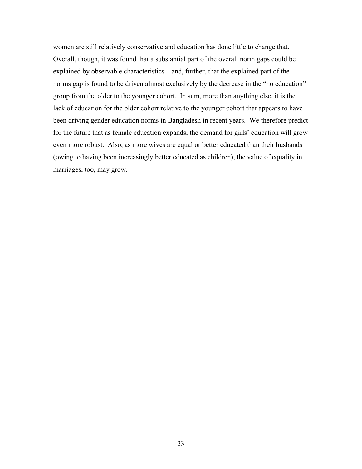women are still relatively conservative and education has done little to change that. Overall, though, it was found that a substantial part of the overall norm gaps could be explained by observable characteristics—and, further, that the explained part of the norms gap is found to be driven almost exclusively by the decrease in the "no education" group from the older to the younger cohort. In sum, more than anything else, it is the lack of education for the older cohort relative to the younger cohort that appears to have been driving gender education norms in Bangladesh in recent years. We therefore predict for the future that as female education expands, the demand for girls' education will grow even more robust. Also, as more wives are equal or better educated than their husbands (owing to having been increasingly better educated as children), the value of equality in marriages, too, may grow.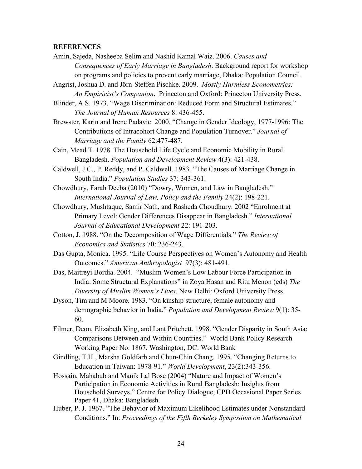#### **REFERENCES**

- Amin, Sajeda, Nasheeba Selim and Nashid Kamal Waiz. 2006. *Causes and Consequences of Early Marriage in Bangladesh*. Background report for workshop on programs and policies to prevent early marriage, Dhaka: Population Council.
- Angrist, Joshua D. and Jörn-Steffen Pischke. 2009. *Mostly Harmless Econometrics: An Empiricist's Companion*. Princeton and Oxford: Princeton University Press.
- Blinder, A.S. 1973. "Wage Discrimination: Reduced Form and Structural Estimates." *The Journal of Human Resources* 8: 436-455.
- Brewster, Karin and Irene Padavic. 2000. "Change in Gender Ideology, 1977-1996: The Contributions of Intracohort Change and Population Turnover." *Journal of Marriage and the Family* 62:477-487.
- Cain, Mead T. 1978. The Household Life Cycle and Economic Mobility in Rural Bangladesh. *Population and Development Review* 4(3): 421-438.
- Caldwell, J.C., P. Reddy, and P. Caldwell. 1983. "The Causes of Marriage Change in South India." *Population Studies* 37: 343-361.
- Chowdhury, Farah Deeba (2010) "Dowry, Women, and Law in Bangladesh." *International Journal of Law, Policy and the Family* 24(2): 198-221.
- Chowdhury, Mushtaque, Samir Nath, and Rasheda Choudhury. 2002 "Enrolment at Primary Level: Gender Differences Disappear in Bangladesh." *International Journal of Educational Development* 22: 191-203.
- Cotton, J. 1988. "On the Decomposition of Wage Differentials." *The Review of Economics and Statistics* 70: 236-243.
- Das Gupta, Monica. 1995. "Life Course Perspectives on Women's Autonomy and Health Outcomes." *American Anthropologist* 97(3): 481-491.
- Das, Maitreyi Bordia. 2004. "Muslim Women's Low Labour Force Participation in India: Some Structural Explanations" in Zoya Hasan and Ritu Menon (eds) *The Diversity of Muslim Women's Lives*. New Delhi: Oxford University Press.
- Dyson, Tim and M Moore. 1983. "On kinship structure, female autonomy and demographic behavior in India." *Population and Development Review* 9(1): 35- 60.
- Filmer, Deon, Elizabeth King, and Lant Pritchett. 1998. "Gender Disparity in South Asia: Comparisons Between and Within Countries." World Bank Policy Research Working Paper No. 1867. Washington, DC: World Bank
- Gindling, T.H., Marsha Goldfarb and Chun-Chin Chang. 1995. "Changing Returns to Education in Taiwan: 1978-91." *World Development*, 23(2):343-356.
- Hossain, Mahabub and Manik Lal Bose (2004) "Nature and Impact of Women's Participation in Economic Activities in Rural Bangladesh: Insights from Household Surveys." Centre for Policy Dialogue, CPD Occasional Paper Series Paper 41, Dhaka: Bangladesh.
- Huber, P. J. 1967. "The Behavior of Maximum Likelihood Estimates under Nonstandard Conditions." In: *Proceedings of the Fifth Berkeley Symposium on Mathematical*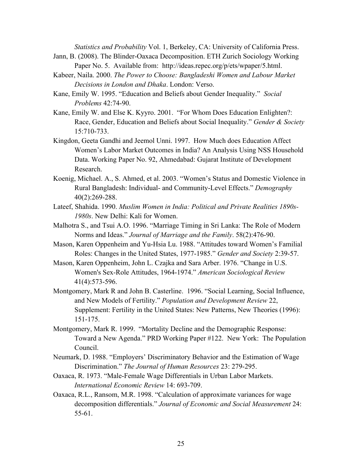*Statistics and Probability* Vol. 1, Berkeley, CA: University of California Press. Jann, B. (2008). The Blinder-Oaxaca Decomposition. ETH Zurich Sociology Working

- Paper No. 5. Available from: http://ideas.repec.org/p/ets/wpaper/5.html.
- Kabeer, Naila. 2000. *The Power to Choose: Bangladeshi Women and Labour Market Decisions in London and Dhaka*. London: Verso.
- Kane, Emily W. 1995. "Education and Beliefs about Gender Inequality." *Social Problems* 42:74-90.
- Kane, Emily W. and Else K. Kyyro. 2001. "For Whom Does Education Enlighten?: Race, Gender, Education and Beliefs about Social Inequality." *Gender & Society* 15:710-733.
- Kingdon, Geeta Gandhi and Jeemol Unni. 1997. How Much does Education Affect Women's Labor Market Outcomes in India? An Analysis Using NSS Household Data. Working Paper No. 92, Ahmedabad: Gujarat Institute of Development Research.
- Koenig, Michael. A., S. Ahmed, et al. 2003. "Women's Status and Domestic Violence in Rural Bangladesh: Individual- and Community-Level Effects." *Demography* 40(2):269-288.
- Lateef, Shahida. 1990. *Muslim Women in India: Political and Private Realities 1890s-1980s*. New Delhi: Kali for Women.
- Malhotra S., and Tsui A.O. 1996. "Marriage Timing in Sri Lanka: The Role of Modern Norms and Ideas." *Journal of Marriage and the Family*. 58(2):476-90.
- Mason, Karen Oppenheim and Yu-Hsia Lu. 1988. "Attitudes toward Women's Familial Roles: Changes in the United States, 1977-1985." *Gender and Society* 2:39-57.
- Mason, Karen Oppenheim, John L. Czajka and Sara Arber. 1976. "Change in U.S. Women's Sex-Role Attitudes, 1964-1974." *American Sociological Review* 41(4):573-596.
- Montgomery, Mark R and John B. Casterline. 1996. "Social Learning, Social Influence, and New Models of Fertility." *Population and Development Review* 22, Supplement: Fertility in the United States: New Patterns, New Theories (1996): 151-175.
- Montgomery, Mark R. 1999. "Mortality Decline and the Demographic Response: Toward a New Agenda." PRD Working Paper #122. New York: The Population Council.
- Neumark, D. 1988. "Employers' Discriminatory Behavior and the Estimation of Wage Discrimination." *The Journal of Human Resources* 23: 279-295.
- Oaxaca, R. 1973. "Male-Female Wage Differentials in Urban Labor Markets. *International Economic Review* 14: 693-709.
- Oaxaca, R.L., Ransom, M.R. 1998. "Calculation of approximate variances for wage decomposition differentials." *Journal of Economic and Social Measurement* 24: 55-61.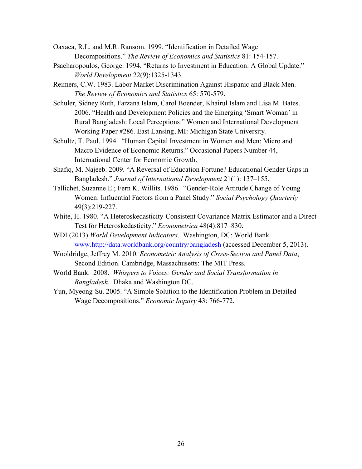- Oaxaca, R.L. and M.R. Ransom. 1999. "Identification in Detailed Wage Decompositions." *The Review of Economics and Statistics* 81: 154-157.
- Psacharopoulos, George. 1994. "Returns to Investment in Education: A Global Update." *World Development* 22(9):1325-1343.
- Reimers, C.W. 1983. Labor Market Discrimination Against Hispanic and Black Men. *The Review of Economics and Statistics* 65: 570-579.
- Schuler, Sidney Ruth, Farzana Islam, Carol Boender, Khairul Islam and Lisa M. Bates. 2006. "Health and Development Policies and the Emerging 'Smart Woman' in Rural Bangladesh: Local Perceptions." Women and International Development Working Paper #286. East Lansing, MI: Michigan State University.
- Schultz, T. Paul. 1994. "Human Capital Investment in Women and Men: Micro and Macro Evidence of Economic Returns." Occasional Papers Number 44, International Center for Economic Growth.
- Shafiq, M. Najeeb. 2009. "A Reversal of Education Fortune? Educational Gender Gaps in Bangladesh." *Journal of International Development* 21(1): 137–155.
- Tallichet, Suzanne E.; Fern K. Willits. 1986. "Gender-Role Attitude Change of Young Women: Influential Factors from a Panel Study." *Social Psychology Quarterly* 49(3):219-227.
- White, H. 1980. "A Heteroskedasticity-Consistent Covariance Matrix Estimator and a Direct Test for Heteroskedasticity." *Econometrica* 48(4):817–830.
- WDI (2013) *World Development Indicators*. Washington, DC: World Bank. www.http://data.worldbank.org/country/bangladesh (accessed December 5, 2013).
- Wooldridge, Jeffrey M. 2010. *Econometric Analysis of Cross-Section and Panel Data*, Second Edition. Cambridge, Massachusetts: The MIT Press.
- World Bank. 2008. *Whispers to Voices: Gender and Social Transformation in Bangladesh*. Dhaka and Washington DC.
- Yun, Myeong-Su. 2005. "A Simple Solution to the Identification Problem in Detailed Wage Decompositions." *Economic Inquiry* 43: 766-772.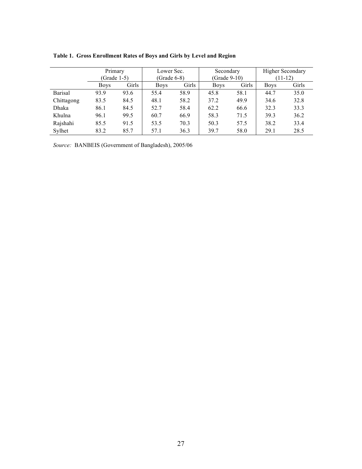|                | Primary     |              | Lower Sec.    |       | Secondary    |       | <b>Higher Secondary</b> |       |  |
|----------------|-------------|--------------|---------------|-------|--------------|-------|-------------------------|-------|--|
|                | (Grade 1-5) |              | $(Grade 6-8)$ |       | (Grade 9-10) |       | $(11-12)$               |       |  |
|                | <b>Boys</b> | <b>Girls</b> | <b>Boys</b>   | Girls | <b>Boys</b>  | Girls | <b>Boys</b>             | Girls |  |
| <b>Barisal</b> | 93.9        | 93.6         | 55.4          | 58.9  | 45.8         | 58.1  | 44.7                    | 35.0  |  |
| Chittagong     | 83.5        | 84.5         | 48.1          | 58.2  | 37.2         | 49.9  | 34.6                    | 32.8  |  |
| Dhaka          | 86.1        | 84.5         | 52.7          | 58.4  | 62.2         | 66.6  | 32.3                    | 33.3  |  |
| Khulna         | 96.1        | 99.5         | 60.7          | 66.9  | 58.3         | 71.5  | 39.3                    | 36.2  |  |
| Rajshahi       | 85.5        | 91.5         | 53.5          | 70.3  | 50.3         | 57.5  | 38.2                    | 33.4  |  |
| Sylhet         | 83.2        | 85.7         | 57.1          | 36.3  | 39.7         | 58.0  | 29.1                    | 28.5  |  |

**Table 1. Gross Enrollment Rates of Boys and Girls by Level and Region**

*Source:* BANBEIS (Government of Bangladesh), 2005/06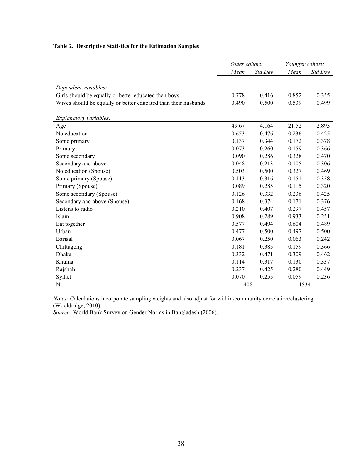|  | Table 2. Descriptive Statistics for the Estimation Samples |  |  |  |  |
|--|------------------------------------------------------------|--|--|--|--|
|--|------------------------------------------------------------|--|--|--|--|

|                                                                | Older cohort: |         | Younger cohort: |         |  |
|----------------------------------------------------------------|---------------|---------|-----------------|---------|--|
|                                                                | Mean          | Std Dev | Mean            | Std Dev |  |
|                                                                |               |         |                 |         |  |
| Dependent variables:                                           |               |         |                 |         |  |
| Girls should be equally or better educated than boys           | 0.778         | 0.416   | 0.852           | 0.355   |  |
| Wives should be equally or better educated than their husbands | 0.490         | 0.500   | 0.539           | 0.499   |  |
| Explanatory variables:                                         |               |         |                 |         |  |
| Age                                                            | 49.67         | 4.164   | 21.52           | 2.893   |  |
| No education                                                   | 0.653         | 0.476   | 0.236           | 0.425   |  |
| Some primary                                                   | 0.137         | 0.344   | 0.172           | 0.378   |  |
| Primary                                                        | 0.073         | 0.260   | 0.159           | 0.366   |  |
| Some secondary                                                 | 0.090         | 0.286   | 0.328           | 0.470   |  |
| Secondary and above                                            | 0.048         | 0.213   | 0.105           | 0.306   |  |
| No education (Spouse)                                          | 0.503         | 0.500   | 0.327           | 0.469   |  |
| Some primary (Spouse)                                          | 0.113         | 0.316   | 0.151           | 0.358   |  |
| Primary (Spouse)                                               | 0.089         | 0.285   | 0.115           | 0.320   |  |
| Some secondary (Spouse)                                        | 0.126         | 0.332   | 0.236           | 0.425   |  |
| Secondary and above (Spouse)                                   | 0.168         | 0.374   | 0.171           | 0.376   |  |
| Listens to radio                                               | 0.210         | 0.407   | 0.297           | 0.457   |  |
| Islam                                                          | 0.908         | 0.289   | 0.933           | 0.251   |  |
| Eat together                                                   | 0.577         | 0.494   | 0.604           | 0.489   |  |
| Urban                                                          | 0.477         | 0.500   | 0.497           | 0.500   |  |
| <b>Barisal</b>                                                 | 0.067         | 0.250   | 0.063           | 0.242   |  |
| Chittagong                                                     | 0.181         | 0.385   | 0.159           | 0.366   |  |
| Dhaka                                                          | 0.332         | 0.471   | 0.309           | 0.462   |  |
| Khulna                                                         | 0.114         | 0.317   | 0.130           | 0.337   |  |
| Rajshahi                                                       | 0.237         | 0.425   | 0.280           | 0.449   |  |
| Sylhet                                                         | 0.070         | 0.255   | 0.059           | 0.236   |  |
| N                                                              | 1408          |         | 1534            |         |  |

*Notes:* Calculations incorporate sampling weights and also adjust for within-community correlation/clustering (Wooldridge, 2010).

*Source:* World Bank Survey on Gender Norms in Bangladesh (2006).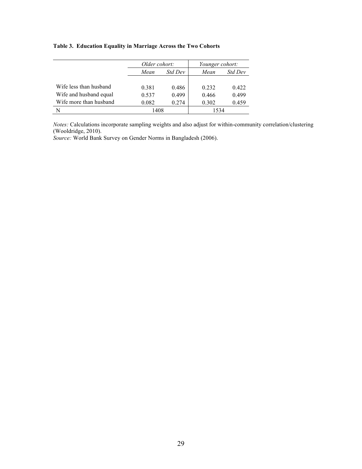#### **Table 3. Education Equality in Marriage Across the Two Cohorts**

|                        | Older cohort: |                | Younger cohort: |         |  |  |
|------------------------|---------------|----------------|-----------------|---------|--|--|
|                        | Mean          | <i>Std Dev</i> | Mean            | Std Dev |  |  |
|                        |               |                |                 |         |  |  |
| Wife less than husband | 0.381         | 0.486          | 0.232           | 0.422   |  |  |
| Wife and husband equal | 0.537         | 0.499          | 0.466           | 0.499   |  |  |
| Wife more than husband | 0.082         | 0.274          | 0.302           | 0.459   |  |  |
|                        | 1408          |                | 1534            |         |  |  |

*Notes:* Calculations incorporate sampling weights and also adjust for within-community correlation/clustering (Wooldridge, 2010).

*Source:* World Bank Survey on Gender Norms in Bangladesh (2006).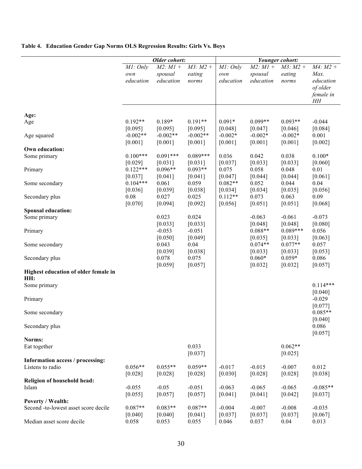### **Table 4. Education Gender Gap Norms OLS Regression Results: Girls Vs. Boys**

|                                                      |                       | Older cohort:         |                       | Younger cohort:      |                      |                      |                  |
|------------------------------------------------------|-----------------------|-----------------------|-----------------------|----------------------|----------------------|----------------------|------------------|
|                                                      | MI: Only              | $M2$ : $M1 +$         | $M3$ : $M2 +$         | MI: Only             | $M2$ : $M1 +$        | $M3$ : $M2 +$        | $M4$ : $M2 +$    |
|                                                      | own                   | spousal               | eating                | own                  | spousal              | eating               | Max.             |
|                                                      | education             | education             | norms                 | education            | education            | norms                | education        |
|                                                      |                       |                       |                       |                      |                      |                      | of older         |
|                                                      |                       |                       |                       |                      |                      |                      | female in        |
|                                                      |                       |                       |                       |                      |                      |                      | HH               |
|                                                      |                       |                       |                       |                      |                      |                      |                  |
| Age:                                                 |                       |                       |                       |                      |                      |                      |                  |
| Age                                                  | $0.192**$             | $0.189*$              | $0.191**$             | $0.091*$             | $0.099**$            | $0.093**$            | $-0.044$         |
|                                                      | [0.095]<br>$-0.002**$ | [0.095]<br>$-0.002**$ | [0.095]<br>$-0.002**$ | [0.048]<br>$-0.002*$ | [0.047]<br>$-0.002*$ | [0.046]<br>$-0.002*$ | [0.084]<br>0.001 |
| Age squared                                          | [0.001]               | [0.001]               | [0.001]               | [0.001]              | [0.001]              | [0.001]              | [0.002]          |
| Own education:                                       |                       |                       |                       |                      |                      |                      |                  |
| Some primary                                         | $0.100***$            | $0.091***$            | $0.089***$            | 0.036                | 0.042                | 0.038                | $0.100*$         |
|                                                      | [0.029]               | [0.031]               | [0.031]               | [0.037]              | [0.033]              | [0.033]              | [0.060]          |
| Primary                                              | $0.122***$            | $0.096**$             | $0.093**$             | 0.075                | 0.058                | 0.048                | 0.01             |
|                                                      | [0.037]               | [0.041]               | [0.041]               | [0.047]              | [0.044]              | [0.044]              | [0.061]          |
| Some secondary                                       | $0.104***$            | 0.061                 | 0.059                 | $0.082**$            | 0.052                | 0.044                | 0.04             |
|                                                      | [0.036]               | [0.039]               | [0.038]               | [0.034]              | [0.034]              | [0.035]              | [0.056]          |
| Secondary plus                                       | 0.08                  | 0.027                 | 0.025                 | $0.112**$            | 0.073                | 0.063                | 0.09             |
|                                                      | [0.070]               | [0.094]               | [0.092]               | [0.056]              | [0.051]              | [0.051]              | [0.068]          |
| <b>Spousal education:</b>                            |                       |                       |                       |                      |                      |                      |                  |
| Some primary                                         |                       | 0.023                 | 0.024                 |                      | $-0.063$             | $-0.061$             | $-0.073$         |
|                                                      |                       | [0.033]               | [0.033]               |                      | [0.048]              | [0.048]              | [0.080]          |
| Primary                                              |                       | $-0.053$              | $-0.051$              |                      | $0.088**$            | $0.089***$           | 0.056            |
|                                                      |                       | [0.050]               | [0.049]               |                      | [0.035]              | [0.033]              | [0.063]          |
| Some secondary                                       |                       | 0.043                 | 0.04                  |                      | $0.074**$            | $0.077**$            | 0.057            |
|                                                      |                       | [0.039]               | [0.038]               |                      | [0.033]              | [0.033]              | [0.053]          |
| Secondary plus                                       |                       | 0.078                 | 0.075                 |                      | $0.060*$             | $0.059*$             | 0.086            |
|                                                      |                       | [0.059]               | [0.057]               |                      | [0.032]              | [0.032]              | [0.057]          |
| Highest education of older female in                 |                       |                       |                       |                      |                      |                      |                  |
| HH:                                                  |                       |                       |                       |                      |                      |                      |                  |
| Some primary                                         |                       |                       |                       |                      |                      |                      | $0.114***$       |
|                                                      |                       |                       |                       |                      |                      |                      | [0.040]          |
| Primary                                              |                       |                       |                       |                      |                      |                      | $-0.029$         |
|                                                      |                       |                       |                       |                      |                      |                      | [0.077]          |
| Some secondary                                       |                       |                       |                       |                      |                      |                      | $0.085**$        |
|                                                      |                       |                       |                       |                      |                      |                      | [0.040]          |
| Secondary plus                                       |                       |                       |                       |                      |                      |                      | 0.086            |
|                                                      |                       |                       |                       |                      |                      |                      | [0.057]          |
| Norms:                                               |                       |                       |                       |                      |                      |                      |                  |
| Eat together                                         |                       |                       | 0.033                 |                      |                      | $0.062**$            |                  |
|                                                      |                       |                       | [0.037]               |                      |                      | [0.025]              |                  |
| Information access / processing:<br>Listens to radio | $0.056**$             | $0.055**$             | $0.059**$             | $-0.017$             | $-0.015$             | $-0.007$             | 0.012            |
|                                                      |                       |                       |                       | [0.030]              | [0.028]              |                      |                  |
| Religion of household head:                          | [0.028]               | [0.028]               | $[0.028]$             |                      |                      | [0.028]              | [0.038]          |
| Islam                                                | $-0.055$              | $-0.05$               | $-0.051$              | $-0.063$             | $-0.065$             | $-0.065$             | $-0.085**$       |
|                                                      | [0.055]               | [0.057]               | [0.057]               | [0.041]              | [0.041]              | [0.042]              | $[0.037]$        |
| Poverty / Wealth:                                    |                       |                       |                       |                      |                      |                      |                  |
| Second -to-lowest asset score decile                 | $0.087**$             | $0.083**$             | $0.087**$             | $-0.004$             | $-0.007$             | $-0.008$             | $-0.035$         |
|                                                      | [0.040]               | [0.040]               | [0.041]               | [0.037]              | [0.037]              | [0.037]              | $[0.067]$        |
| Median asset score decile                            | 0.058                 | 0.053                 | 0.055                 | 0.046                | 0.037                | 0.04                 | 0.013            |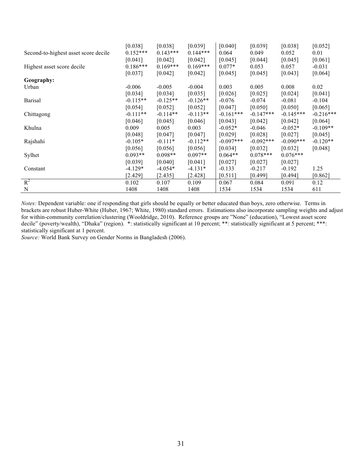|                                      | [0.038]    | [0.038]    | [0.039]    | [0.040]     | [0.039]      | [0.038]     | [0.052]     |
|--------------------------------------|------------|------------|------------|-------------|--------------|-------------|-------------|
| Second-to-highest asset score decile | $0.152***$ | $0.143***$ | $0.144***$ | 0.064       | 0.049        | 0.052       | 0.01        |
|                                      | [0.041]    | [0.042]    | [0.042]    | [0.045]     | [0.044]      | [0.045]     | [0.061]     |
| Highest asset score decile           | $0.186***$ | $0.169***$ | $0.169***$ | $0.077*$    | 0.053        | 0.057       | $-0.031$    |
|                                      | [0.037]    | [0.042]    | [0.042]    | [0.045]     | [0.045]      | [0.043]     | [0.064]     |
| Geography:                           |            |            |            |             |              |             |             |
| Urban                                | $-0.006$   | $-0.005$   | $-0.004$   | 0.003       | 0.005        | 0.008       | 0.02        |
|                                      | [0.034]    | [0.034]    | [0.035]    | $[0.026]$   | [0.025]      | [0.024]     | [0.041]     |
| <b>Barisal</b>                       | $-0.115**$ | $-0.125**$ | $-0.126**$ | $-0.076$    | $-0.074$     | $-0.081$    | $-0.104$    |
|                                      | [0.054]    | [0.052]    | [0.052]    | $[0.047]$   | [0.050]      | [0.050]     | [0.065]     |
| Chittagong                           | $-0.111**$ | $-0.114**$ | $-0.113**$ | $-0.161***$ | $-0.147***$  | $-0.145***$ | $-0.216***$ |
|                                      | $[0.046]$  | [0.045]    | [0.046]    | [0.043]     | [0.042]      | [0.042]     | [0.064]     |
| Khulna                               | 0.009      | 0.005      | 0.003      | $-0.052*$   | $-0.046$     | $-0.052*$   | $-0.109**$  |
|                                      | [0.048]    | [0.047]    | [0.047]    | $[0.029]$   | [0.028]      | [0.027]     | [0.045]     |
| Rajshahi                             | $-0.105*$  | $-0.111*$  | $-0.112**$ | $-0.097***$ | $-0.092$ *** | $-0.090***$ | $-0.120**$  |
|                                      | [0.056]    | [0.056]    | [0.056]    | $[0.034]$   | [0.032]      | [0.032]     | [0.048]     |
| Sylhet                               | $0.093**$  | $0.098**$  | $0.097**$  | $0.064**$   | $0.078***$   | $0.076***$  |             |
|                                      | [0.039]    | [0.040]    | [0.041]    | [0.027]     | [0.027]      | [0.027]     |             |
| Constant                             | $-4.129*$  | $-4.054*$  | $-4.131*$  | $-0.133$    | $-0.217$     | $-0.192$    | 1.25        |
|                                      | [2.429]    | [2.435]    | [2.428]    | [0.511]     | [0.499]      | [0.494]     | [0.862]     |
| $R^2$                                | 0.102      | 0.107      | 0.109      | 0.067       | 0.084        | 0.091       | 0.12        |
| N                                    | 1408       | 1408       | 1408       | 1534        | 1534         | 1534        | 611         |

*Notes:* Dependent variable: one if responding that girls should be equally or better educated than boys, zero otherwise. Terms in brackets are robust Huber-White (Huber, 1967; White, 1980) standard errors. Estimations also incorporate sampling weights and adjust for within-community correlation/clustering (Wooldridge, 2010). Reference groups are "None" (education), "Lowest asset score decile" (poverty/wealth), "Dhaka" (region). \*: statistically significant at 10 percent; \*\*: statistically significant at 5 percent; \*\*\*: statistically significant at 1 percent.

*Source:* World Bank Survey on Gender Norms in Bangladesh (2006).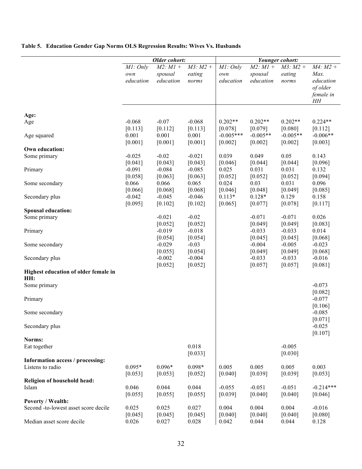|                                             |                              | Older cohort:                         |                                  |                              |                                       | Younger cohort:                  |                                                          |
|---------------------------------------------|------------------------------|---------------------------------------|----------------------------------|------------------------------|---------------------------------------|----------------------------------|----------------------------------------------------------|
|                                             | MI: Only<br>own<br>education | $M2$ : $M1 +$<br>spousal<br>education | $M3$ : $M2 +$<br>eating<br>norms | MI: Only<br>own<br>education | $M2$ : $M1 +$<br>spousal<br>education | $M3$ : $M2 +$<br>eating<br>norms | $M4: M2 +$<br>Max.<br>education<br>of older<br>female in |
|                                             |                              |                                       |                                  |                              |                                       |                                  | HH                                                       |
| Age:                                        |                              |                                       |                                  |                              |                                       |                                  |                                                          |
| Age                                         | $-0.068$                     | $-0.07$                               | $-0.068$                         | $0.202**$                    | $0.202**$                             | $0.202**$                        | $0.224**$                                                |
|                                             | [0.113]                      | [0.112]                               | [0.113]                          | [0.078]                      | [0.079]                               | [0.080]                          | [0.112]                                                  |
| Age squared                                 | 0.001                        | 0.001                                 | 0.001                            | $-0.005***$                  | $-0.005**$                            | $-0.005**$                       | $-0.006**$                                               |
|                                             | [0.001]                      | [0.001]                               | [0.001]                          | [0.002]                      | [0.002]                               | [0.002]                          | [0.003]                                                  |
| Own education:                              |                              |                                       |                                  |                              |                                       |                                  |                                                          |
| Some primary                                | $-0.025$                     | $-0.02$                               | $-0.021$                         | 0.039                        | 0.049                                 | 0.05                             | 0.143                                                    |
|                                             | [0.041]                      | [0.043]                               | [0.043]                          | [0.046]                      | [0.044]                               | [0.044]                          | [0.096]                                                  |
| Primary                                     | $-0.091$                     | $-0.084$                              | $-0.085$                         | 0.025                        | 0.031                                 | 0.031                            | 0.132                                                    |
|                                             | [0.058]                      | [0.063]                               | [0.063]                          | [0.052]                      | [0.052]                               | [0.052]                          | [0.094]                                                  |
| Some secondary                              | 0.066                        | 0.066                                 | 0.065                            | 0.024                        | 0.03                                  | 0.031                            | 0.096                                                    |
|                                             | [0.066]<br>$-0.042$          | [0.068]<br>$-0.045$                   | [0.068]<br>$-0.046$              | [0.046]<br>$0.113*$          | [0.048]<br>$0.128*$                   | [0.049]<br>0.129                 | [0.085]<br>0.158                                         |
| Secondary plus                              | [0.095]                      | [0.102]                               | [0.102]                          | [0.065]                      | [0.077]                               | [0.078]                          | [0.117]                                                  |
| <b>Spousal education:</b>                   |                              |                                       |                                  |                              |                                       |                                  |                                                          |
| Some primary                                |                              | $-0.021$                              | $-0.02$                          |                              | $-0.071$                              | $-0.071$                         | 0.026                                                    |
|                                             |                              | [0.052]                               | [0.052]                          |                              | [0.049]                               | [0.049]                          | [0.083]                                                  |
| Primary                                     |                              | $-0.019$                              | $-0.018$                         |                              | $-0.033$                              | $-0.033$                         | 0.014                                                    |
|                                             |                              | [0.054]                               | [0.054]                          |                              | [0.045]                               | [0.045]                          | [0.068]                                                  |
| Some secondary                              |                              | $-0.029$                              | $-0.03$                          |                              | $-0.004$                              | $-0.005$                         | $-0.023$                                                 |
|                                             |                              | [0.055]                               | [0.054]                          |                              | [0.049]                               | [0.049]                          | [0.068]                                                  |
| Secondary plus                              |                              | $-0.002$                              | $-0.004$                         |                              | $-0.033$                              | $-0.033$                         | $-0.016$                                                 |
|                                             |                              | [0.052]                               | [0.052]                          |                              | [0.057]                               | [0.057]                          | [0.081]                                                  |
| Highest education of older female in<br>HH: |                              |                                       |                                  |                              |                                       |                                  |                                                          |
| Some primary                                |                              |                                       |                                  |                              |                                       |                                  | $-0.073$<br>[0.082]                                      |
| Primary                                     |                              |                                       |                                  |                              |                                       |                                  | $-0.077$                                                 |
|                                             |                              |                                       |                                  |                              |                                       |                                  | [0.106]                                                  |
| Some secondary                              |                              |                                       |                                  |                              |                                       |                                  | $-0.085$                                                 |
|                                             |                              |                                       |                                  |                              |                                       |                                  | [0.071]                                                  |
| Secondary plus                              |                              |                                       |                                  |                              |                                       |                                  | $-0.025$                                                 |
|                                             |                              |                                       |                                  |                              |                                       |                                  | [0.107]                                                  |
| Norms:                                      |                              |                                       |                                  |                              |                                       |                                  |                                                          |
| Eat together                                |                              |                                       | 0.018                            |                              |                                       | $-0.005$                         |                                                          |
|                                             |                              |                                       | [0.033]                          |                              |                                       | [0.030]                          |                                                          |
| Information access / processing:            |                              |                                       |                                  |                              |                                       |                                  |                                                          |
| Listens to radio                            | $0.095*$                     | $0.096*$                              | $0.098*$                         | 0.005                        | 0.005                                 | 0.005                            | 0.003                                                    |
|                                             | [0.053]                      | [0.053]                               | [0.052]                          | [0.040]                      | [0.039]                               | [0.039]                          | [0.053]                                                  |
| Religion of household head:                 |                              |                                       |                                  |                              |                                       |                                  |                                                          |
| Islam                                       | 0.046                        | 0.044                                 | 0.044                            | $-0.055$                     | $-0.051$                              | $-0.051$                         | $-0.214***$                                              |
| <b>Poverty / Wealth:</b>                    | [0.055]                      | [0.055]                               | [0.055]                          | [0.039]                      | [0.040]                               | [0.040]                          | [0.046]                                                  |
| Second -to-lowest asset score decile        | 0.025                        | 0.025                                 | 0.027                            | 0.004                        | 0.004                                 | 0.004                            | $-0.016$                                                 |
|                                             | [0.045]                      | [0.045]                               | [0.045]                          | [0.040]                      | [0.040]                               | [0.040]                          | [0.080]                                                  |
| Median asset score decile                   | 0.026                        | 0.027                                 | 0.028                            | 0.042                        | 0.044                                 | 0.044                            | 0.128                                                    |

#### **Table 5. Education Gender Gap Norms OLS Regression Results: Wives Vs. Husbands**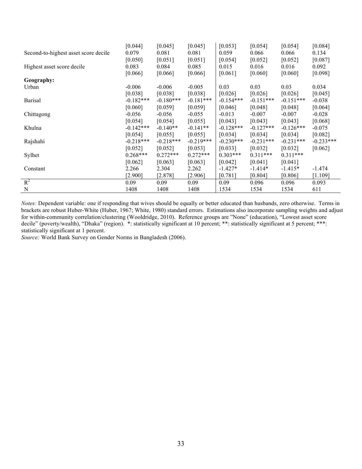|                                      | [0.044]     | [0.045]     | [0.045]     | [0.053]     | [0.054]     | [0.054]     | [0.084]     |
|--------------------------------------|-------------|-------------|-------------|-------------|-------------|-------------|-------------|
| Second-to-highest asset score decile | 0.079       | 0.081       | 0.081       | 0.059       | 0.066       | 0.066       | 0.134       |
|                                      | [0.050]     | [0.051]     | [0.051]     | [0.054]     | [0.052]     | [0.052]     | [0.087]     |
| Highest asset score decile           | 0.083       | 0.084       | 0.085       | 0.015       | 0.016       | 0.016       | 0.092       |
|                                      | [0.066]     | [0.066]     | [0.066]     | [0.061]     | [0.060]     | [0.060]     | [0.098]     |
| Geography:                           |             |             |             |             |             |             |             |
| Urban                                | $-0.006$    | $-0.006$    | $-0.005$    | 0.03        | 0.03        | 0.03        | 0.034       |
|                                      | [0.038]     | [0.038]     | [0.038]     | [0.026]     | [0.026]     | [0.026]     | [0.045]     |
| <b>Barisal</b>                       | $-0.182***$ | $-0.180***$ | $-0.181***$ | $-0.154***$ | $-0.151***$ | $-0.151***$ | $-0.038$    |
|                                      | [0.060]     | [0.059]     | [0.059]     | [0.046]     | [0.048]     | [0.048]     | [0.064]     |
| Chittagong                           | $-0.056$    | $-0.056$    | $-0.055$    | $-0.013$    | $-0.007$    | $-0.007$    | $-0.028$    |
|                                      | [0.054]     | [0.054]     | [0.055]     | [0.043]     | [0.043]     | [0.043]     | [0.068]     |
| Khulna                               | $-0.142***$ | $-0.140**$  | $-0.141**$  | $-0.128***$ | $-0.127***$ | $-0.126***$ | $-0.075$    |
|                                      | [0.054]     | [0.055]     | [0.055]     | [0.034]     | [0.034]     | [0.034]     | [0.082]     |
| Rajshahi                             | $-0.218***$ | $-0.218***$ | $-0.219***$ | $-0.230***$ | $-0.231***$ | $-0.231***$ | $-0.233***$ |
|                                      | [0.052]     | [0.052]     | [0.053]     | [0.033]     | [0.032]     | [0.032]     | [0.062]     |
| Sylhet                               | $0.268***$  | $0.272***$  | $0.272***$  | $0.303***$  | $0.311***$  | $0.311***$  |             |
|                                      | [0.062]     | [0.063]     | [0.063]     | [0.042]     | [0.041]     | [0.041]     |             |
| Constant                             | 2.266       | 2.304       | 2.262       | $-1.427*$   | $-1.414*$   | $-1.415*$   | $-1.474$    |
|                                      | [2.900]     | [2.878]     | $[2.906]$   | [0.781]     | [0.804]     | [0.806]     | [1.109]     |
| $R^2$                                | 0.09        | 0.09        | 0.09        | 0.09        | 0.096       | 0.096       | 0.093       |
| N                                    | 1408        | 1408        | 1408        | 1534        | 1534        | 1534        | 611         |

*Notes:* Dependent variable: one if responding that wives should be equally or better educated than husbands, zero otherwise. Terms in brackets are robust Huber-White (Huber, 1967; White, 1980) standard errors. Estimations also incorporate sampling weights and adjust for within-community correlation/clustering (Wooldridge, 2010). Reference groups are "None" (education), "Lowest asset score decile" (poverty/wealth), "Dhaka" (region). \*: statistically significant at 10 percent; \*\*: statistically significant at 5 percent; \*\*\*: statistically significant at 1 percent.

*Source:* World Bank Survey on Gender Norms in Bangladesh (2006).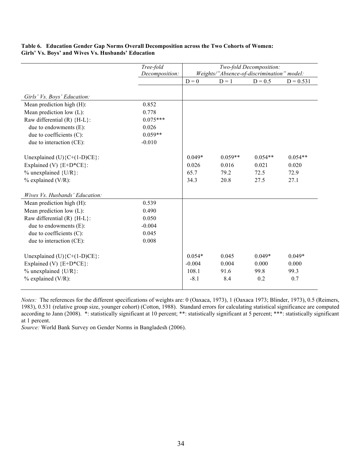#### **Table 6. Education Gender Gap Norms Overall Decomposition across the Two Cohorts of Women: Girls' Vs. Boys' and Wives Vs. Husbands' Education**

|                                       | Tree-fold      | Two-fold Decomposition: |                                            |           |             |  |  |  |  |
|---------------------------------------|----------------|-------------------------|--------------------------------------------|-----------|-------------|--|--|--|--|
|                                       | Decomposition: |                         | Weights/"Absence-of-discrimination" model: |           |             |  |  |  |  |
|                                       |                | $D = 0$                 | $D = 1$                                    | $D = 0.5$ | $D = 0.531$ |  |  |  |  |
|                                       |                |                         |                                            |           |             |  |  |  |  |
| Girls' Vs. Boys' Education:           |                |                         |                                            |           |             |  |  |  |  |
| Mean prediction high (H):             | 0.852          |                         |                                            |           |             |  |  |  |  |
| Mean prediction low (L):              | 0.778          |                         |                                            |           |             |  |  |  |  |
| Raw differential $(R)$ {H-L}:         | $0.075***$     |                         |                                            |           |             |  |  |  |  |
| due to endowments (E):                | 0.026          |                         |                                            |           |             |  |  |  |  |
| due to coefficients (C):              | $0.059**$      |                         |                                            |           |             |  |  |  |  |
| due to interaction (CE):              | $-0.010$       |                         |                                            |           |             |  |  |  |  |
|                                       |                |                         |                                            |           |             |  |  |  |  |
| Unexplained (U) ${C+(1-D)CE}$ :       |                | $0.049*$                | $0.059**$                                  | $0.054**$ | $0.054**$   |  |  |  |  |
| Explained (V) ${E+D*CE}$ :            |                | 0.026                   | 0.016                                      | 0.021     | 0.020       |  |  |  |  |
| $%$ unexplained {U/R}:                |                | 65.7                    | 79.2                                       | 72.5      | 72.9        |  |  |  |  |
| $%$ explained (V/R):                  |                | 34.3                    | 20.8                                       | 27.5      | 27.1        |  |  |  |  |
| <i>Wives Vs. Husbands' Education:</i> |                |                         |                                            |           |             |  |  |  |  |
| Mean prediction high (H):             | 0.539          |                         |                                            |           |             |  |  |  |  |
| Mean prediction low (L):              | 0.490          |                         |                                            |           |             |  |  |  |  |
| Raw differential $(R)$ {H-L}:         | 0.050          |                         |                                            |           |             |  |  |  |  |
| due to endowments (E):                | $-0.004$       |                         |                                            |           |             |  |  |  |  |
| due to coefficients (C):              | 0.045          |                         |                                            |           |             |  |  |  |  |
| due to interaction (CE):              | 0.008          |                         |                                            |           |             |  |  |  |  |
|                                       |                |                         |                                            |           |             |  |  |  |  |
| Unexplained (U) ${C+(1-D)CE}$ :       |                | $0.054*$                | 0.045                                      | $0.049*$  | $0.049*$    |  |  |  |  |
| Explained (V) ${E+D*CE}$ :            |                | $-0.004$                | 0.004                                      | 0.000     | 0.000       |  |  |  |  |
| $%$ unexplained {U/R}:                |                | 108.1                   | 91.6                                       | 99.8      | 99.3        |  |  |  |  |
| $%$ explained (V/R):                  |                | $-8.1$                  | 8.4                                        | 0.2       | 0.7         |  |  |  |  |
|                                       |                |                         |                                            |           |             |  |  |  |  |

*Notes:* The references for the different specifications of weights are: 0 (Oaxaca, 1973), 1 (Oaxaca 1973; Blinder, 1973), 0.5 (Reimers, 1983), 0.531 (relative group size, younger cohort) (Cotton, 1988). Standard errors for calculating statistical significance are computed according to Jann (2008). \*: statistically significant at 10 percent; \*\*: statistically significant at 5 percent; \*\*\*: statistically significant at 1 percent.

*Source:* World Bank Survey on Gender Norms in Bangladesh (2006).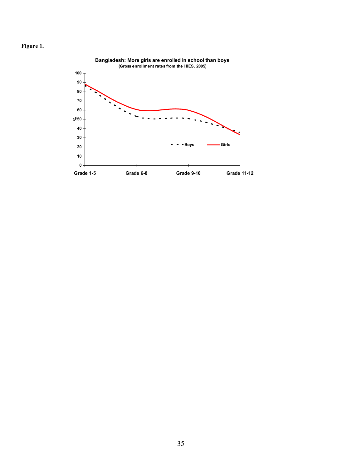

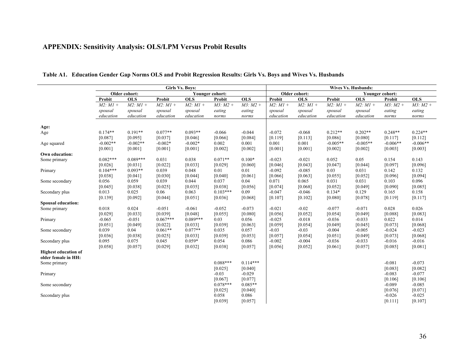|                                                    |               |               |               | <b>Girls Vs. Boys:</b> |                 |               | <b>Wives Vs. Husbands:</b> |               |               |               |                 |               |
|----------------------------------------------------|---------------|---------------|---------------|------------------------|-----------------|---------------|----------------------------|---------------|---------------|---------------|-----------------|---------------|
|                                                    |               | Older cohort: |               |                        | Younger cohort: |               |                            | Older cohort: |               |               | Younger cohort: |               |
|                                                    | Probit        | <b>OLS</b>    | Probit        | <b>OLS</b>             | Probit          | <b>OLS</b>    | Probit                     | <b>OLS</b>    | Probit        | <b>OLS</b>    | Probit          | OLS           |
|                                                    | $M2$ : $M1 +$ | $M2$ : $M1 +$ | $M2$ : $M1 +$ | $M2$ : $M1 +$          | $M3$ : $M2 +$   | $M3$ : $M2 +$ | $M2$ : $M1 +$              | $M2$ : $M1 +$ | $M2$ : $M1 +$ | $M2$ : $M1 +$ | $M3$ : $M2 +$   | $M3$ : $M2 +$ |
|                                                    | spousal       | spousal       | spousal       | spousal                | eating          | eating        | spousal                    | spousal       | spousal       | spousal       | eating          | eating        |
|                                                    | education     | education     | education     | education              | norms           | norms         | education                  | education     | education     | education     | norms           | norms         |
| Age:                                               |               |               |               |                        |                 |               |                            |               |               |               |                 |               |
| Age                                                | $0.174**$     | $0.191**$     | $0.077**$     | $0.093**$              | $-0.066$        | $-0.044$      | $-0.072$                   | $-0.068$      | $0.212**$     | $0.202**$     | $0.248**$       | $0.224**$     |
|                                                    | [0.087]       | [0.095]       | [0.037]       | [0.046]                | [0.066]         | [0.084]       | [0.119]                    | [0.113]       | [0.086]       | [0.080]       | [0.117]         | [0.112]       |
| Age squared                                        | $-0.002**$    | $-0.002**$    | $-0.002*$     | $-0.002*$              | 0.002           | 0.001         | 0.001                      | 0.001         | $-0.005**$    | $-0.005**$    | $-0.006**$      | $-0.006**$    |
|                                                    | [0.001]       | [0.001]       | [0.001]       | [0.001]                | [0.002]         | [0.002]       | [0.001]                    | [0.001]       | [0.002]       | [0.002]       | [0.003]         | [0.003]       |
| Own education:                                     |               |               |               |                        |                 |               |                            |               |               |               |                 |               |
| Some primary                                       | $0.082***$    | $0.089***$    | 0.031         | 0.038                  | $0.071**$       | $0.100*$      | $-0.023$                   | $-0.021$      | 0.052         | 0.05          | 0.154           | 0.143         |
|                                                    | [0.026]       | [0.031]       | [0.022]       | [0.033]                | [0.029]         | [0.060]       | [0.046]                    | [0.043]       | [0.047]       | [0.044]       | [0.097]         | [0.096]       |
| Primary                                            | $0.104***$    | $0.093**$     | 0.039         | 0.048                  | 0.01            | 0.01          | $-0.092$                   | $-0.085$      | 0.03          | 0.031         | 0.142           | 0.132         |
|                                                    | [0.038]       | [0.041]       | [0.030]       | [0.044]                | [0.040]         | [0.061]       | [0.066]                    | [0.063]       | [0.055]       | [0.052]       | [0.096]         | [0.094]       |
| Some secondary                                     | 0.056         | 0.059         | 0.039         | 0.044                  | 0.037           | 0.04          | 0.071                      | 0.065         | 0.031         | 0.031         | 0.103           | 0.096         |
|                                                    | [0.045]       | [0.038]       | [0.025]       | [0.035]                | [0.038]         | [0.056]       | [0.074]                    | [0.068]       | [0.052]       | [0.049]       | [0.090]         | [0.085]       |
| Secondary plus                                     | 0.013         | 0.025         | 0.06          | 0.063                  | $0.103***$      | 0.09          | $-0.047$                   | $-0.046$      | $0.134*$      | 0.129         | 0.165           | 0.158         |
|                                                    | [0.139]       | [0.092]       | [0.044]       | [0.051]                | [0.036]         | [0.068]       | [0.107]                    | [0.102]       | [0.080]       | [0.078]       | [0.119]         | [0.117]       |
| <b>Spousal education:</b>                          |               |               |               |                        |                 |               |                            |               |               |               |                 |               |
| Some primary                                       | 0.018         | 0.024         | $-0.051$      | $-0.061$               | $-0.052$        | $-0.073$      | $-0.021$                   | $-0.02$       | $-0.077$      | $-0.071$      | 0.028           | 0.026         |
|                                                    | [0.029]       | [0.033]       | [0.039]       | [0.048]                | [0.055]         | [0.080]       | [0.056]                    | [0.052]       | [0.054]       | [0.049]       | [0.088]         | [0.083]       |
| Primary                                            | $-0.065$      | $-0.051$      | $0.067***$    | $0.089***$             | 0.03            | 0.056         | $-0.025$                   | $-0.018$      | $-0.036$      | $-0.033$      | 0.022           | 0.014         |
|                                                    | [0.051]       | [0.049]       | [0.022]       | [0.033]                | [0.039]         | [0.063]       | [0.059]                    | [0.054]       | [0.049]       | [0.045]       | [0.073]         | [0.068]       |
| Some secondary                                     | 0.039         | 0.04          | $0.061**$     | $0.077**$              | 0.035           | 0.057         | $-0.03$                    | $-0.03$       | $-0.004$      | $-0.005$      | $-0.024$        | $-0.023$      |
|                                                    | [0.036]       | [0.038]       | [0.025]       | [0.033]                | [0.039]         | [0.053]       | [0.057]                    | [0.054]       | [0.051]       | [0.049]       | [0.073]         | [0.068]       |
| Secondary plus                                     | 0.095         | 0.075         | 0.045         | $0.059*$               | 0.054           | 0.086         | $-0.002$                   | $-0.004$      | $-0.036$      | $-0.033$      | $-0.016$        | $-0.016$      |
|                                                    | [0.058]       | [0.057]       | [0.029]       | [0.032]                | [0.038]         | [0.057]       | [0.056]                    | [0.052]       | [0.061]       | [0.057]       | [0.085]         | [0.081]       |
| <b>Highest education of</b><br>older female in HH: |               |               |               |                        |                 |               |                            |               |               |               |                 |               |
| Some primary                                       |               |               |               |                        | $0.088***$      | $0.114***$    |                            |               |               |               | $-0.081$        | $-0.073$      |
|                                                    |               |               |               |                        | [0.025]         | [0.040]       |                            |               |               |               | [0.083]         | [0.082]       |
| Primary                                            |               |               |               |                        | $-0.03$         | $-0.029$      |                            |               |               |               | $-0.083$        | $-0.077$      |
|                                                    |               |               |               |                        | [0.067]         | [0.077]       |                            |               |               |               | [0.106]         | [0.106]       |
| Some secondary                                     |               |               |               |                        | $0.078***$      | $0.085**$     |                            |               |               |               | $-0.089$        | $-0.085$      |
|                                                    |               |               |               |                        | [0.025]         | [0.040]       |                            |               |               |               | [0.076]         | [0.071]       |
| Secondary plus                                     |               |               |               |                        | 0.058           | 0.086         |                            |               |               |               | $-0.026$        | $-0.025$      |
|                                                    |               |               |               |                        | [0.039]         | [0.057]       |                            |               |               |               | [0.111]         | [0.107]       |

#### **Table A1. Education Gender Gap Norms OLS and Probit Regression Results: Girls Vs. Boys and Wives Vs. Husbands**

**APPENDIX: Sensitivity Analysis: OLS/LPM Versus Probit Results**